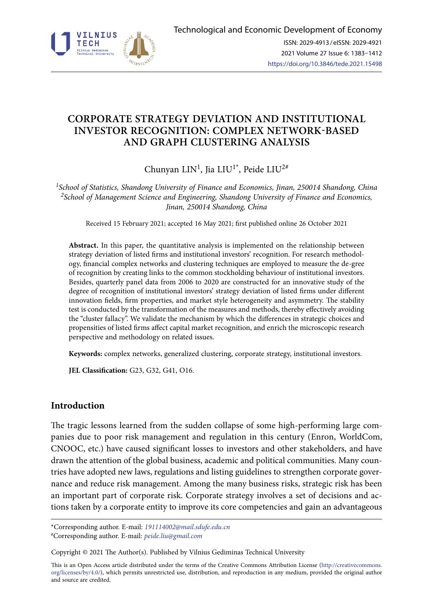

# **CORPORATE STRATEGY DEVIATION AND INSTITUTIONAL INVESTOR RECOGNITION: COMPLEX NETWORK-BASED AND GRAPH CLUSTERING ANALYSIS**

Chunyan LIN<sup>1</sup>, Jia LIU<sup>1\*</sup>, Peide LIU<sup>2#</sup>

*1School of Statistics, Shandong University of Finance and Economics, Jinan, 250014 Shandong, China 2School of Management Science and Engineering, Shandong University of Finance and Economics, Jinan, 250014 Shandong, China*

Received 15 February 2021; accepted 16 May 2021; first published online 26 October 2021

**Abstract.** In this paper, the quantitative analysis is implemented on the relationship between strategy deviation of listed firms and institutional investors' recognition. For research methodology, financial complex networks and clustering techniques are employed to measure the de-gree of recognition by creating links to the common stockholding behaviour of institutional investors. Besides, quarterly panel data from 2006 to 2020 are constructed for an innovative study of the degree of recognition of institutional investors' strategy deviation of listed firms under different innovation fields, firm properties, and market style heterogeneity and asymmetry. The stability test is conducted by the transformation of the measures and methods, thereby effectively avoiding the "cluster fallacy". We validate the mechanism by which the differences in strategic choices and propensities of listed firms affect capital market recognition, and enrich the microscopic research perspective and methodology on related issues.

**Keywords:** complex networks, generalized clustering, corporate strategy, institutional investors.

**JEL Classification:** G23, G32, G41, O16.

# **Introduction**

The tragic lessons learned from the sudden collapse of some high-performing large companies due to poor risk management and regulation in this century (Enron, WorldCom, CNOOC, etc.) have caused significant losses to investors and other stakeholders, and have drawn the attention of the global business, academic and political communities. Many countries have adopted new laws, regulations and listing guidelines to strengthen corporate governance and reduce risk management. Among the many business risks, strategic risk has been an important part of corporate risk. Corporate strategy involves a set of decisions and actions taken by a corporate entity to improve its core competencies and gain an advantageous

\*Corresponding author. E-mail: *191114002@mail.sdufe.edu.cn*

#Corresponding author. E-mail: *peide.liu@gmail.com*

Copyright © 2021 The Author(s). Published by Vilnius Gediminas Technical University

This is an Open Access article distributed under the terms of the Creative Commons Attribution License (http://creativecommons. org/licenses/by/4.0/), which permits unrestricted use, distribution, and reproduction in any medium, provided the original author and source are credited.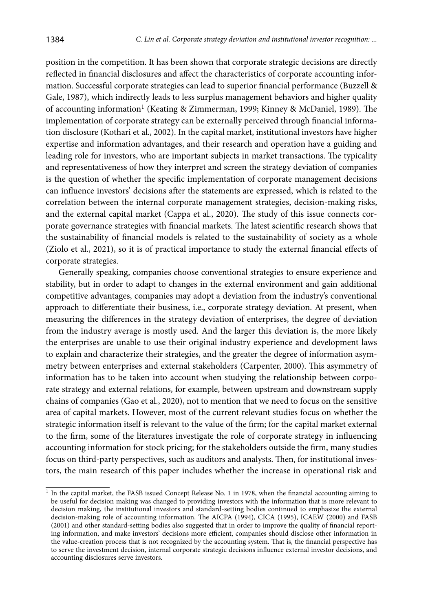position in the competition. It has been shown that corporate strategic decisions are directly reflected in financial disclosures and affect the characteristics of corporate accounting information. Successful corporate strategies can lead to superior financial performance (Buzzell & Gale, 1987), which indirectly leads to less surplus management behaviors and higher quality of accounting information1 (Keating & Zimmerman, 1999; Kinney & McDaniel, 1989). The implementation of corporate strategy can be externally perceived through financial information disclosure (Kothari et al., 2002). In the capital market, institutional investors have higher expertise and information advantages, and their research and operation have a guiding and leading role for investors, who are important subjects in market transactions. The typicality and representativeness of how they interpret and screen the strategy deviation of companies is the question of whether the specific implementation of corporate management decisions can influence investors' decisions after the statements are expressed, which is related to the correlation between the internal corporate management strategies, decision-making risks, and the external capital market (Cappa et al., 2020). The study of this issue connects corporate governance strategies with financial markets. The latest scientific research shows that the sustainability of financial models is related to the sustainability of society as a whole (Ziolo et al., 2021), so it is of practical importance to study the external financial effects of corporate strategies.

Generally speaking, companies choose conventional strategies to ensure experience and stability, but in order to adapt to changes in the external environment and gain additional competitive advantages, companies may adopt a deviation from the industry's conventional approach to differentiate their business, i.e., corporate strategy deviation. At present, when measuring the differences in the strategy deviation of enterprises, the degree of deviation from the industry average is mostly used. And the larger this deviation is, the more likely the enterprises are unable to use their original industry experience and development laws to explain and characterize their strategies, and the greater the degree of information asymmetry between enterprises and external stakeholders (Carpenter, 2000). This asymmetry of information has to be taken into account when studying the relationship between corporate strategy and external relations, for example, between upstream and downstream supply chains of companies (Gao et al., 2020), not to mention that we need to focus on the sensitive area of capital markets. However, most of the current relevant studies focus on whether the strategic information itself is relevant to the value of the firm; for the capital market external to the firm, some of the literatures investigate the role of corporate strategy in influencing accounting information for stock pricing; for the stakeholders outside the firm, many studies focus on third-party perspectives, such as auditors and analysts. Then, for institutional investors, the main research of this paper includes whether the increase in operational risk and

 $<sup>1</sup>$  In the capital market, the FASB issued Concept Release No. 1 in 1978, when the financial accounting aiming to</sup> be useful for decision making was changed to providing investors with the information that is more relevant to decision making, the institutional investors and standard-setting bodies continued to emphasize the external decision-making role of accounting information. The AICPA (1994), CICA (1995), ICAEW (2000) and FASB (2001) and other standard-setting bodies also suggested that in order to improve the quality of financial reporting information, and make investors' decisions more efficient, companies should disclose other information in the value-creation process that is not recognized by the accounting system. That is, the financial perspective has to serve the investment decision, internal corporate strategic decisions influence external investor decisions, and accounting disclosures serve investors.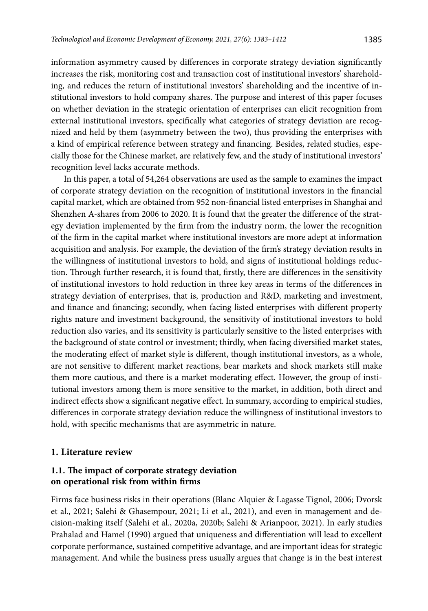information asymmetry caused by differences in corporate strategy deviation significantly increases the risk, monitoring cost and transaction cost of institutional investors' shareholding, and reduces the return of institutional investors' shareholding and the incentive of institutional investors to hold company shares. The purpose and interest of this paper focuses on whether deviation in the strategic orientation of enterprises can elicit recognition from external institutional investors, specifically what categories of strategy deviation are recognized and held by them (asymmetry between the two), thus providing the enterprises with a kind of empirical reference between strategy and financing. Besides, related studies, especially those for the Chinese market, are relatively few, and the study of institutional investors' recognition level lacks accurate methods.

In this paper, a total of 54,264 observations are used as the sample to examines the impact of corporate strategy deviation on the recognition of institutional investors in the financial capital market, which are obtained from 952 non-financial listed enterprises in Shanghai and Shenzhen A-shares from 2006 to 2020. It is found that the greater the difference of the strategy deviation implemented by the firm from the industry norm, the lower the recognition of the firm in the capital market where institutional investors are more adept at information acquisition and analysis. For example, the deviation of the firm's strategy deviation results in the willingness of institutional investors to hold, and signs of institutional holdings reduction. Through further research, it is found that, firstly, there are differences in the sensitivity of institutional investors to hold reduction in three key areas in terms of the differences in strategy deviation of enterprises, that is, production and R&D, marketing and investment, and finance and financing; secondly, when facing listed enterprises with different property rights nature and investment background, the sensitivity of institutional investors to hold reduction also varies, and its sensitivity is particularly sensitive to the listed enterprises with the background of state control or investment; thirdly, when facing diversified market states, the moderating effect of market style is different, though institutional investors, as a whole, are not sensitive to different market reactions, bear markets and shock markets still make them more cautious, and there is a market moderating effect. However, the group of institutional investors among them is more sensitive to the market, in addition, both direct and indirect effects show a significant negative effect. In summary, according to empirical studies, differences in corporate strategy deviation reduce the willingness of institutional investors to hold, with specific mechanisms that are asymmetric in nature.

# **1. Literature review**

# **1.1. The impact of corporate strategy deviation on operational risk from within firms**

Firms face business risks in their operations (Blanc Alquier & Lagasse Tignol, 2006; Dvorsk et al., 2021; Salehi & Ghasempour, 2021; Li et al., 2021), and even in management and decision-making itself (Salehi et al., 2020a, 2020b; Salehi & Arianpoor, 2021). In early studies Prahalad and Hamel (1990) argued that uniqueness and differentiation will lead to excellent corporate performance, sustained competitive advantage, and are important ideas for strategic management. And while the business press usually argues that change is in the best interest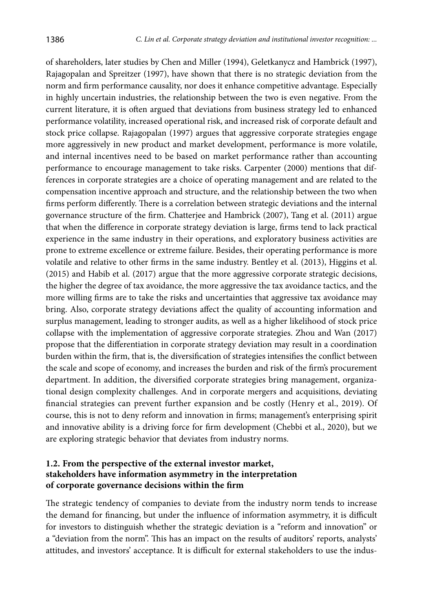of shareholders, later studies by Chen and Miller (1994), Geletkanycz and Hambrick (1997), Rajagopalan and Spreitzer (1997), have shown that there is no strategic deviation from the norm and firm performance causality, nor does it enhance competitive advantage. Especially in highly uncertain industries, the relationship between the two is even negative. From the current literature, it is often argued that deviations from business strategy led to enhanced performance volatility, increased operational risk, and increased risk of corporate default and stock price collapse. Rajagopalan (1997) argues that aggressive corporate strategies engage more aggressively in new product and market development, performance is more volatile, and internal incentives need to be based on market performance rather than accounting performance to encourage management to take risks. Carpenter (2000) mentions that differences in corporate strategies are a choice of operating management and are related to the compensation incentive approach and structure, and the relationship between the two when firms perform differently. There is a correlation between strategic deviations and the internal governance structure of the firm. Chatterjee and Hambrick (2007), Tang et al. (2011) argue that when the difference in corporate strategy deviation is large, firms tend to lack practical experience in the same industry in their operations, and exploratory business activities are prone to extreme excellence or extreme failure. Besides, their operating performance is more volatile and relative to other firms in the same industry. Bentley et al. (2013), Higgins et al. (2015) and Habib et al. (2017) argue that the more aggressive corporate strategic decisions, the higher the degree of tax avoidance, the more aggressive the tax avoidance tactics, and the more willing firms are to take the risks and uncertainties that aggressive tax avoidance may bring. Also, corporate strategy deviations affect the quality of accounting information and surplus management, leading to stronger audits, as well as a higher likelihood of stock price collapse with the implementation of aggressive corporate strategies. Zhou and Wan (2017) propose that the differentiation in corporate strategy deviation may result in a coordination burden within the firm, that is, the diversification of strategies intensifies the conflict between the scale and scope of economy, and increases the burden and risk of the firm's procurement department. In addition, the diversified corporate strategies bring management, organizational design complexity challenges. And in corporate mergers and acquisitions, deviating financial strategies can prevent further expansion and be costly (Henry et al., 2019). Of course, this is not to deny reform and innovation in firms; management's enterprising spirit and innovative ability is a driving force for firm development (Chebbi et al., 2020), but we are exploring strategic behavior that deviates from industry norms.

# **1.2. From the perspective of the external investor market, stakeholders have information asymmetry in the interpretation of corporate governance decisions within the firm**

The strategic tendency of companies to deviate from the industry norm tends to increase the demand for financing, but under the influence of information asymmetry, it is difficult for investors to distinguish whether the strategic deviation is a "reform and innovation" or a "deviation from the norm". This has an impact on the results of auditors' reports, analysts' attitudes, and investors' acceptance. It is difficult for external stakeholders to use the indus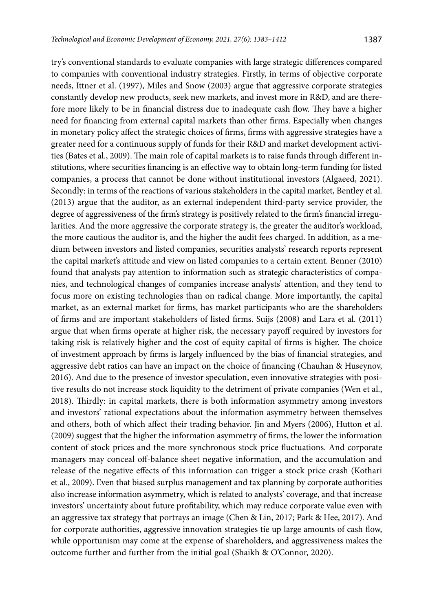try's conventional standards to evaluate companies with large strategic differences compared to companies with conventional industry strategies. Firstly, in terms of objective corporate needs, Ittner et al. (1997), Miles and Snow (2003) argue that aggressive corporate strategies constantly develop new products, seek new markets, and invest more in R&D, and are therefore more likely to be in financial distress due to inadequate cash flow. They have a higher need for financing from external capital markets than other firms. Especially when changes in monetary policy affect the strategic choices of firms, firms with aggressive strategies have a greater need for a continuous supply of funds for their R&D and market development activities (Bates et al., 2009). The main role of capital markets is to raise funds through different institutions, where securities financing is an effective way to obtain long-term funding for listed companies, a process that cannot be done without institutional investors (Algaeed, 2021). Secondly: in terms of the reactions of various stakeholders in the capital market, Bentley et al. (2013) argue that the auditor, as an external independent third-party service provider, the degree of aggressiveness of the firm's strategy is positively related to the firm's financial irregularities. And the more aggressive the corporate strategy is, the greater the auditor's workload, the more cautious the auditor is, and the higher the audit fees charged. In addition, as a medium between investors and listed companies, securities analysts' research reports represent the capital market's attitude and view on listed companies to a certain extent. Benner (2010) found that analysts pay attention to information such as strategic characteristics of companies, and technological changes of companies increase analysts' attention, and they tend to focus more on existing technologies than on radical change. More importantly, the capital market, as an external market for firms, has market participants who are the shareholders of firms and are important stakeholders of listed firms. Suijs (2008) and Lara et al. (2011) argue that when firms operate at higher risk, the necessary payoff required by investors for taking risk is relatively higher and the cost of equity capital of firms is higher. The choice of investment approach by firms is largely influenced by the bias of financial strategies, and aggressive debt ratios can have an impact on the choice of financing (Chauhan & Huseynov, 2016). And due to the presence of investor speculation, even innovative strategies with positive results do not increase stock liquidity to the detriment of private companies (Wen et al., 2018). Thirdly: in capital markets, there is both information asymmetry among investors and investors' rational expectations about the information asymmetry between themselves and others, both of which affect their trading behavior. Jin and Myers (2006), Hutton et al. (2009) suggest that the higher the information asymmetry of firms, the lower the information content of stock prices and the more synchronous stock price fluctuations. And corporate managers may conceal off-balance sheet negative information, and the accumulation and release of the negative effects of this information can trigger a stock price crash (Kothari et al., 2009). Even that biased surplus management and tax planning by corporate authorities also increase information asymmetry, which is related to analysts' coverage, and that increase investors' uncertainty about future profitability, which may reduce corporate value even with an aggressive tax strategy that portrays an image (Chen & Lin, 2017; Park & Hee, 2017). And for corporate authorities, aggressive innovation strategies tie up large amounts of cash flow, while opportunism may come at the expense of shareholders, and aggressiveness makes the outcome further and further from the initial goal (Shaikh & O'Connor, 2020).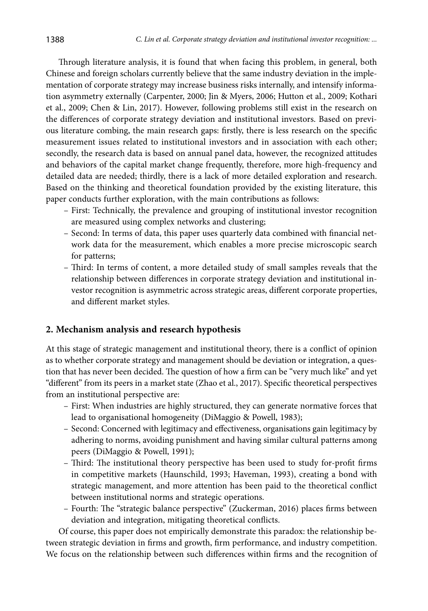Through literature analysis, it is found that when facing this problem, in general, both Chinese and foreign scholars currently believe that the same industry deviation in the implementation of corporate strategy may increase business risks internally, and intensify information asymmetry externally (Carpenter, 2000; Jin & Myers, 2006; Hutton et al., 2009; Kothari et al., 2009; Chen & Lin, 2017). However, following problems still exist in the research on the differences of corporate strategy deviation and institutional investors. Based on previous literature combing, the main research gaps: firstly, there is less research on the specific measurement issues related to institutional investors and in association with each other; secondly, the research data is based on annual panel data, however, the recognized attitudes and behaviors of the capital market change frequently, therefore, more high-frequency and detailed data are needed; thirdly, there is a lack of more detailed exploration and research. Based on the thinking and theoretical foundation provided by the existing literature, this paper conducts further exploration, with the main contributions as follows:

- First: Technically, the prevalence and grouping of institutional investor recognition are measured using complex networks and clustering;
- Second: In terms of data, this paper uses quarterly data combined with financial network data for the measurement, which enables a more precise microscopic search for patterns;
- Third: In terms of content, a more detailed study of small samples reveals that the relationship between differences in corporate strategy deviation and institutional investor recognition is asymmetric across strategic areas, different corporate properties, and different market styles.

### **2. Mechanism analysis and research hypothesis**

At this stage of strategic management and institutional theory, there is a conflict of opinion as to whether corporate strategy and management should be deviation or integration, a question that has never been decided. The question of how a firm can be "very much like" and yet "different" from its peers in a market state (Zhao et al., 2017). Specific theoretical perspectives from an institutional perspective are:

- First: When industries are highly structured, they can generate normative forces that lead to organisational homogeneity (DiMaggio & Powell, 1983);
- Second: Concerned with legitimacy and effectiveness, organisations gain legitimacy by adhering to norms, avoiding punishment and having similar cultural patterns among peers (DiMaggio & Powell, 1991);
- Third: The institutional theory perspective has been used to study for-profit firms in competitive markets (Haunschild, 1993; Haveman, 1993), creating a bond with strategic management, and more attention has been paid to the theoretical conflict between institutional norms and strategic operations.
- Fourth: The "strategic balance perspective" (Zuckerman, 2016) places firms between deviation and integration, mitigating theoretical conflicts.

Of course, this paper does not empirically demonstrate this paradox: the relationship between strategic deviation in firms and growth, firm performance, and industry competition. We focus on the relationship between such differences within firms and the recognition of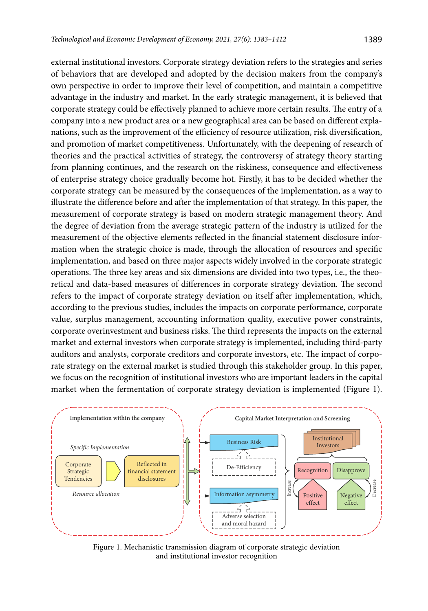external institutional investors. Corporate strategy deviation refers to the strategies and series of behaviors that are developed and adopted by the decision makers from the company's own perspective in order to improve their level of competition, and maintain a competitive advantage in the industry and market. In the early strategic management, it is believed that corporate strategy could be effectively planned to achieve more certain results. The entry of a company into a new product area or a new geographical area can be based on different explanations, such as the improvement of the efficiency of resource utilization, risk diversification, and promotion of market competitiveness. Unfortunately, with the deepening of research of theories and the practical activities of strategy, the controversy of strategy theory starting from planning continues, and the research on the riskiness, consequence and effectiveness of enterprise strategy choice gradually become hot. Firstly, it has to be decided whether the corporate strategy can be measured by the consequences of the implementation, as a way to illustrate the difference before and after the implementation of that strategy. In this paper, the measurement of corporate strategy is based on modern strategic management theory. And the degree of deviation from the average strategic pattern of the industry is utilized for the measurement of the objective elements reflected in the financial statement disclosure information when the strategic choice is made, through the allocation of resources and specific implementation, and based on three major aspects widely involved in the corporate strategic operations. The three key areas and six dimensions are divided into two types, i.e., the theoretical and data-based measures of differences in corporate strategy deviation. The second refers to the impact of corporate strategy deviation on itself after implementation, which, according to the previous studies, includes the impacts on corporate performance, corporate value, surplus management, accounting information quality, executive power constraints, corporate overinvestment and business risks. The third represents the impacts on the external market and external investors when corporate strategy is implemented, including third-party auditors and analysts, corporate creditors and corporate investors, etc. The impact of corporate strategy on the external market is studied through this stakeholder group. In this paper, we focus on the recognition of institutional investors who are important leaders in the capital market when the fermentation of corporate strategy deviation is implemented (Figure 1).



Figure 1. Mechanistic transmission diagram of corporate strategic deviation and institutional investor recognition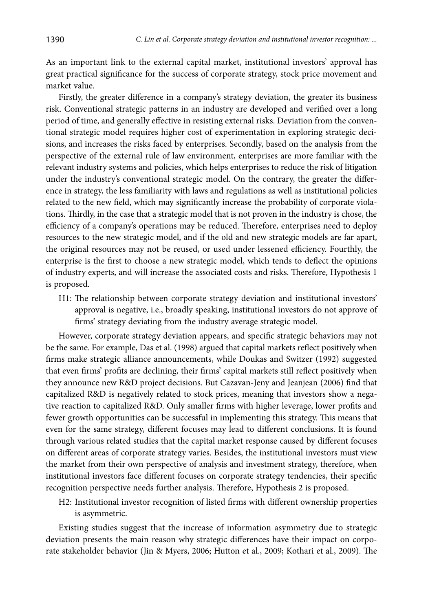As an important link to the external capital market, institutional investors' approval has great practical significance for the success of corporate strategy, stock price movement and market value.

Firstly, the greater difference in a company's strategy deviation, the greater its business risk. Conventional strategic patterns in an industry are developed and verified over a long period of time, and generally effective in resisting external risks. Deviation from the conventional strategic model requires higher cost of experimentation in exploring strategic decisions, and increases the risks faced by enterprises. Secondly, based on the analysis from the perspective of the external rule of law environment, enterprises are more familiar with the relevant industry systems and policies, which helps enterprises to reduce the risk of litigation under the industry's conventional strategic model. On the contrary, the greater the difference in strategy, the less familiarity with laws and regulations as well as institutional policies related to the new field, which may significantly increase the probability of corporate violations. Thirdly, in the case that a strategic model that is not proven in the industry is chose, the efficiency of a company's operations may be reduced. Therefore, enterprises need to deploy resources to the new strategic model, and if the old and new strategic models are far apart, the original resources may not be reused, or used under lessened efficiency. Fourthly, the enterprise is the first to choose a new strategic model, which tends to deflect the opinions of industry experts, and will increase the associated costs and risks. Therefore, Hypothesis 1 is proposed.

H1: The relationship between corporate strategy deviation and institutional investors' approval is negative, i.e., broadly speaking, institutional investors do not approve of firms' strategy deviating from the industry average strategic model.

However, corporate strategy deviation appears, and specific strategic behaviors may not be the same. For example, Das et al. (1998) argued that capital markets reflect positively when firms make strategic alliance announcements, while Doukas and Switzer (1992) suggested that even firms' profits are declining, their firms' capital markets still reflect positively when they announce new R&D project decisions. But Cazavan-Jeny and Jeanjean (2006) find that capitalized R&D is negatively related to stock prices, meaning that investors show a negative reaction to capitalized R&D. Only smaller firms with higher leverage, lower profits and fewer growth opportunities can be successful in implementing this strategy. This means that even for the same strategy, different focuses may lead to different conclusions. It is found through various related studies that the capital market response caused by different focuses on different areas of corporate strategy varies. Besides, the institutional investors must view the market from their own perspective of analysis and investment strategy, therefore, when institutional investors face different focuses on corporate strategy tendencies, their specific recognition perspective needs further analysis. Therefore, Hypothesis 2 is proposed.

H2: Institutional investor recognition of listed firms with different ownership properties is asymmetric.

Existing studies suggest that the increase of information asymmetry due to strategic deviation presents the main reason why strategic differences have their impact on corporate stakeholder behavior (Jin & Myers, 2006; Hutton et al., 2009; Kothari et al., 2009). The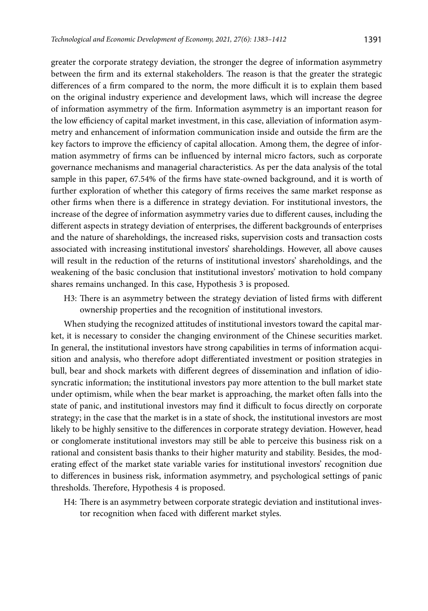greater the corporate strategy deviation, the stronger the degree of information asymmetry between the firm and its external stakeholders. The reason is that the greater the strategic differences of a firm compared to the norm, the more difficult it is to explain them based on the original industry experience and development laws, which will increase the degree of information asymmetry of the firm. Information asymmetry is an important reason for the low efficiency of capital market investment, in this case, alleviation of information asymmetry and enhancement of information communication inside and outside the firm are the key factors to improve the efficiency of capital allocation. Among them, the degree of information asymmetry of firms can be influenced by internal micro factors, such as corporate governance mechanisms and managerial characteristics. As per the data analysis of the total sample in this paper, 67.54% of the firms have state-owned background, and it is worth of further exploration of whether this category of firms receives the same market response as other firms when there is a difference in strategy deviation. For institutional investors, the increase of the degree of information asymmetry varies due to different causes, including the different aspects in strategy deviation of enterprises, the different backgrounds of enterprises and the nature of shareholdings, the increased risks, supervision costs and transaction costs associated with increasing institutional investors' shareholdings. However, all above causes will result in the reduction of the returns of institutional investors' shareholdings, and the weakening of the basic conclusion that institutional investors' motivation to hold company shares remains unchanged. In this case, Hypothesis 3 is proposed.

H3: There is an asymmetry between the strategy deviation of listed firms with different ownership properties and the recognition of institutional investors.

When studying the recognized attitudes of institutional investors toward the capital market, it is necessary to consider the changing environment of the Chinese securities market. In general, the institutional investors have strong capabilities in terms of information acquisition and analysis, who therefore adopt differentiated investment or position strategies in bull, bear and shock markets with different degrees of dissemination and inflation of idiosyncratic information; the institutional investors pay more attention to the bull market state under optimism, while when the bear market is approaching, the market often falls into the state of panic, and institutional investors may find it difficult to focus directly on corporate strategy; in the case that the market is in a state of shock, the institutional investors are most likely to be highly sensitive to the differences in corporate strategy deviation. However, head or conglomerate institutional investors may still be able to perceive this business risk on a rational and consistent basis thanks to their higher maturity and stability. Besides, the moderating effect of the market state variable varies for institutional investors' recognition due to differences in business risk, information asymmetry, and psychological settings of panic thresholds. Therefore, Hypothesis 4 is proposed.

H4: There is an asymmetry between corporate strategic deviation and institutional investor recognition when faced with different market styles.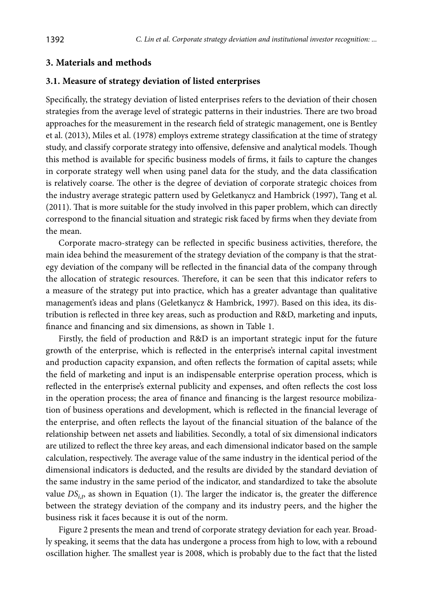## **3. Materials and methods**

### **3.1. Measure of strategy deviation of listed enterprises**

Specifically, the strategy deviation of listed enterprises refers to the deviation of their chosen strategies from the average level of strategic patterns in their industries. There are two broad approaches for the measurement in the research field of strategic management, one is Bentley et al. (2013), Miles et al. (1978) employs extreme strategy classification at the time of strategy study, and classify corporate strategy into offensive, defensive and analytical models. Though this method is available for specific business models of firms, it fails to capture the changes in corporate strategy well when using panel data for the study, and the data classification is relatively coarse. The other is the degree of deviation of corporate strategic choices from the industry average strategic pattern used by Geletkanycz and Hambrick (1997), Tang et al. (2011). That is more suitable for the study involved in this paper problem, which can directly correspond to the financial situation and strategic risk faced by firms when they deviate from the mean.

Corporate macro-strategy can be reflected in specific business activities, therefore, the main idea behind the measurement of the strategy deviation of the company is that the strategy deviation of the company will be reflected in the financial data of the company through the allocation of strategic resources. Therefore, it can be seen that this indicator refers to a measure of the strategy put into practice, which has a greater advantage than qualitative management's ideas and plans (Geletkanycz & Hambrick, 1997). Based on this idea, its distribution is reflected in three key areas, such as production and R&D, marketing and inputs, finance and financing and six dimensions, as shown in Table 1.

Firstly, the field of production and R&D is an important strategic input for the future growth of the enterprise, which is reflected in the enterprise's internal capital investment and production capacity expansion, and often reflects the formation of capital assets; while the field of marketing and input is an indispensable enterprise operation process, which is reflected in the enterprise's external publicity and expenses, and often reflects the cost loss in the operation process; the area of finance and financing is the largest resource mobilization of business operations and development, which is reflected in the financial leverage of the enterprise, and often reflects the layout of the financial situation of the balance of the relationship between net assets and liabilities. Secondly, a total of six dimensional indicators are utilized to reflect the three key areas, and each dimensional indicator based on the sample calculation, respectively. The average value of the same industry in the identical period of the dimensional indicators is deducted, and the results are divided by the standard deviation of the same industry in the same period of the indicator, and standardized to take the absolute value  $DS_{i,p}$  as shown in Equation (1). The larger the indicator is, the greater the difference between the strategy deviation of the company and its industry peers, and the higher the business risk it faces because it is out of the norm.

Figure 2 presents the mean and trend of corporate strategy deviation for each year. Broadly speaking, it seems that the data has undergone a process from high to low, with a rebound oscillation higher. The smallest year is 2008, which is probably due to the fact that the listed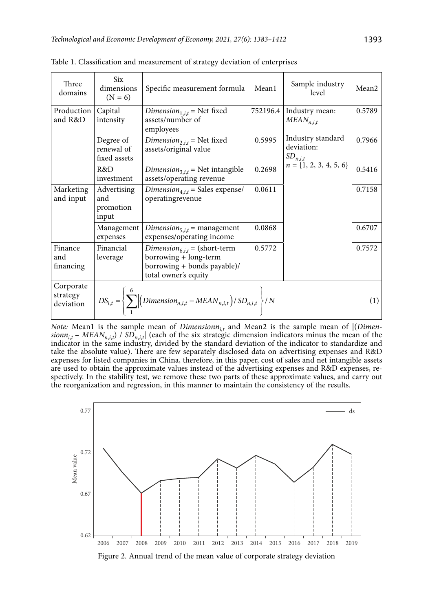| Three<br>domains                   | Six<br>dimensions<br>$(N = 6)$           | Specific measurement formula                                                                                                 | Mean1    | Sample industry<br>level                        | Mean <sub>2</sub> |
|------------------------------------|------------------------------------------|------------------------------------------------------------------------------------------------------------------------------|----------|-------------------------------------------------|-------------------|
| Production<br>and R&D              | Capital<br>intensity                     | <i>Dimension</i> <sub>1,<i>i,t</i></sub> = Net fixed<br>assets/number of<br>employees                                        | 752196.4 | Industry mean:<br>$MEAN_{n,i,t}$                | 0.5789            |
|                                    | Degree of<br>renewal of<br>fixed assets  | Dimension <sub>2,i,t</sub> = Net fixed<br>assets/original value                                                              | 0.5995   | Industry standard<br>deviation:<br>$SD_{n,i,t}$ | 0.7966            |
| R&D<br>investment                  |                                          | Dimension <sub>3,i,t</sub> = Net intangible<br>assets/operating revenue                                                      | 0.2698   | $n = \{1, 2, 3, 4, 5, 6\}$                      | 0.5416            |
| Marketing<br>and input             | Advertising<br>and<br>promotion<br>input | Dimension <sub>4,i,t</sub> = Sales expense/<br>operatingrevenue                                                              | 0.0611   |                                                 | 0.7158            |
|                                    | Management<br>expenses                   | Dimension <sub>5,it</sub> = management<br>expenses/operating income                                                          | 0.0868   |                                                 | 0.6707            |
| Finance<br>and<br>financing        | Financial<br>leverage                    | Dimension <sub>6,i,t</sub> = (short-term<br>borrowing + long-term<br>borrowing + bonds payable)/<br>total owner's equity     | 0.5772   |                                                 | 0.7572            |
| Corporate<br>strategy<br>deviation |                                          | $DS_{i,t} = \left\{ \sum_{i=1}^{6} \left  \left( Dimension_{n,i,t} - MEAN_{n,i,t} \right) / SD_{n,i,t} \right  \right\} / N$ |          |                                                 | (1)               |

Table 1. Classification and measurement of strategy deviation of enterprises

*Note:* Mean1 is the sample mean of *Dimensionn*<sub>i,t</sub> and Mean2 is the sample mean of  $|$ (*Dimen* $sionn_{i,t}$  – *MEAN<sub>n,i,t</sub>*) /  $SD_{n,i,t}$  (each of the six strategic dimension indicators minus the mean of the indicator in the same industry, divided by the standard deviation of the indicator to standardize and take the absolute value). There are few separately disclosed data on advertising expenses and R&D expenses for listed companies in China, therefore, in this paper, cost of sales and net intangible assets are used to obtain the approximate values instead of the advertising expenses and R&D expenses, respectively. In the stability test, we remove these two parts of these approximate values, and carry out the reorganization and regression, in this manner to maintain the consistency of the results.

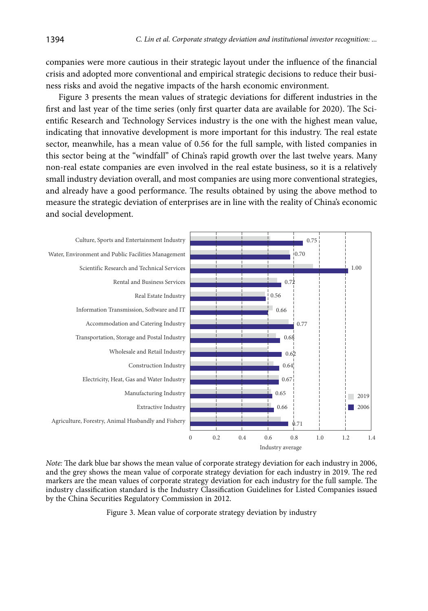companies were more cautious in their strategic layout under the influence of the financial crisis and adopted more conventional and empirical strategic decisions to reduce their business risks and avoid the negative impacts of the harsh economic environment.

Figure 3 presents the mean values of strategic deviations for different industries in the first and last year of the time series (only first quarter data are available for 2020). The Scientific Research and Technology Services industry is the one with the highest mean value, indicating that innovative development is more important for this industry. The real estate sector, meanwhile, has a mean value of 0.56 for the full sample, with listed companies in this sector being at the "windfall" of China's rapid growth over the last twelve years. Many non-real estate companies are even involved in the real estate business, so it is a relatively small industry deviation overall, and most companies are using more conventional strategies, and already have a good performance. The results obtained by using the above method to measure the strategic deviation of enterprises are in line with the reality of China's economic and social development.



*Note:* The dark blue bar shows the mean value of corporate strategy deviation for each industry in 2006, and the grey shows the mean value of corporate strategy deviation for each industry in 2019. The red markers are the mean values of corporate strategy deviation for each industry for the full sample. The industry classification standard is the Industry Classification Guidelines for Listed Companies issued by the China Securities Regulatory Commission in 2012.

Figure 3. Mean value of corporate strategy deviation by industry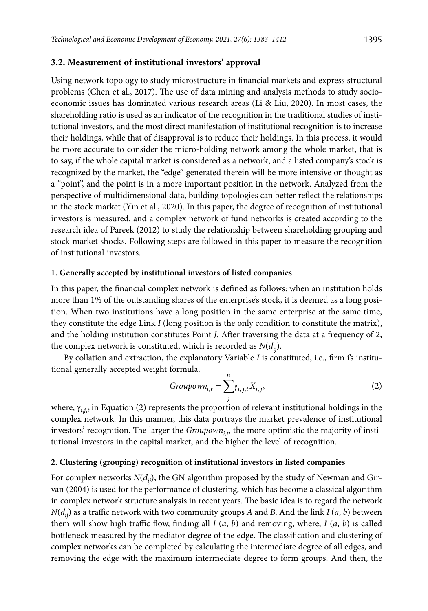#### **3.2. Measurement of institutional investors' approval**

Using network topology to study microstructure in financial markets and express structural problems (Chen et al., 2017). The use of data mining and analysis methods to study socioeconomic issues has dominated various research areas (Li & Liu, 2020). In most cases, the shareholding ratio is used as an indicator of the recognition in the traditional studies of institutional investors, and the most direct manifestation of institutional recognition is to increase their holdings, while that of disapproval is to reduce their holdings. In this process, it would be more accurate to consider the micro-holding network among the whole market, that is to say, if the whole capital market is considered as a network, and a listed company's stock is recognized by the market, the "edge" generated therein will be more intensive or thought as a "point", and the point is in a more important position in the network. Analyzed from the perspective of multidimensional data, building topologies can better reflect the relationships in the stock market (Yin et al., 2020). In this paper, the degree of recognition of institutional investors is measured, and a complex network of fund networks is created according to the research idea of Pareek (2012) to study the relationship between shareholding grouping and stock market shocks. Following steps are followed in this paper to measure the recognition of institutional investors.

#### **1. Generally accepted by institutional investors of listed companies**

In this paper, the financial complex network is defined as follows: when an institution holds more than 1% of the outstanding shares of the enterprise's stock, it is deemed as a long position. When two institutions have a long position in the same enterprise at the same time, they constitute the edge Link *I* (long position is the only condition to constitute the matrix), and the holding institution constitutes Point *J*. After traversing the data at a frequency of 2, the complex network is constituted, which is recorded as  $N(d_{ij})$ .

By collation and extraction, the explanatory Variable *I* is constituted, i.e., firm i's institutional generally accepted weight formula.

$$
Groupown_{i,t} = \sum_{j}^{n} \gamma_{i,j,t} X_{i,j},
$$
 (2)

where, γ<sub>*i,j,t*</sub> in Equation (2) represents the proportion of relevant institutional holdings in the complex network. In this manner, this data portrays the market prevalence of institutional investors' recognition. The larger the *Groupown<sub>i,t</sub>*, the more optimistic the majority of institutional investors in the capital market, and the higher the level of recognition.

### **2. Clustering (grouping) recognition of institutional investors in listed companies**

For complex networks  $N(d_{ij})$ , the GN algorithm proposed by the study of Newman and Girvan (2004) is used for the performance of clustering, which has become a classical algorithm in complex network structure analysis in recent years. The basic idea is to regard the network  $N(d_{ii})$  as a traffic network with two community groups *A* and *B*. And the link *I*  $(a, b)$  between them will show high traffic flow, finding all  $I(a, b)$  and removing, where,  $I(a, b)$  is called bottleneck measured by the mediator degree of the edge. The classification and clustering of complex networks can be completed by calculating the intermediate degree of all edges, and removing the edge with the maximum intermediate degree to form groups. And then, the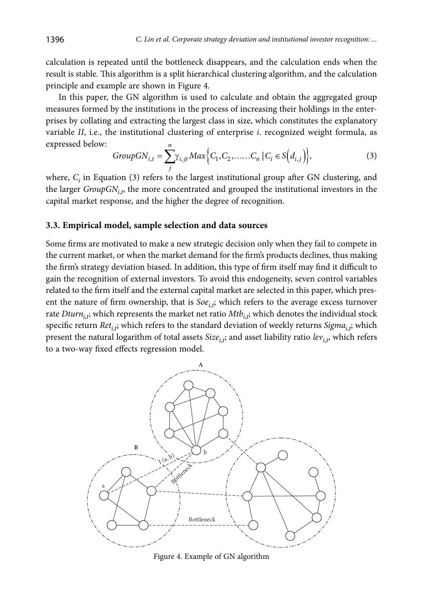calculation is repeated until the bottleneck disappears, and the calculation ends when the result is stable. This algorithm is a split hierarchical clustering algorithm, and the calculation principle and example are shown in Figure 4.

In this paper, the GN algorithm is used to calculate and obtain the aggregated group measures formed by the institutions in the process of increasing their holdings in the enterprises by collating and extracting the largest class in size, which constitutes the explanatory variable *II*, i.e., the institutional clustering of enterprise *i*. recognized weight formula, as expressed below:

$$
GroupGN_{i,t} = \sum_{j}^{n} \gamma_{i,jt} Max \Big\{ C_1, C_2, \dots, C_n \, | \, C_i \in S\Big(d_{i,j}\Big) \Big\},\tag{3}
$$

where,  $C_i$  in Equation (3) refers to the largest institutional group after GN clustering, and the larger  $GroupGN_{i,t}$ , the more concentrated and grouped the institutional investors in the capital market response, and the higher the degree of recognition.

#### **3.3. Empirical model, sample selection and data sources**

Some firms are motivated to make a new strategic decision only when they fail to compete in the current market, or when the market demand for the firm's products declines, thus making the firm's strategy deviation biased. In addition, this type of firm itself may find it difficult to gain the recognition of external investors. To avoid this endogeneity, seven control variables related to the firm itself and the external capital market are selected in this paper, which present the nature of firm ownership, that is  $Soe_{i,t}$ , which refers to the average excess turnover rate  $Dturn_{i,\vec{r}}$  which represents the market net ratio  $Mtb_{i,\vec{r}}$  which denotes the individual stock specific return  $Ret_{i,\vec{p}}$  which refers to the standard deviation of weekly returns  $Sigma_{i,\vec{p}}$  which present the natural logarithm of total assets *Size<sub>i,t</sub>;* and asset liability ratio *lev<sub>i,t</sub>,* which refers to a two-way fixed effects regression model.



Figure 4. Example of GN algorithm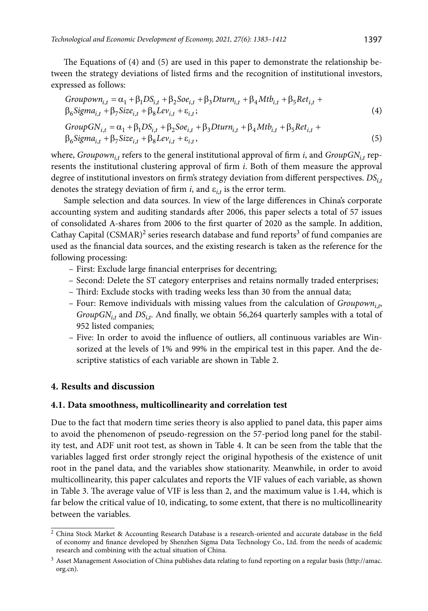The Equations of (4) and (5) are used in this paper to demonstrate the relationship between the strategy deviations of listed firms and the recognition of institutional investors, expressed as follows:

$$
Groupown_{i,t} = \alpha_1 + \beta_1 DS_{i,t} + \beta_2 Soc_{i,t} + \beta_3 Dturn_{i,t} + \beta_4 Mtb_{i,t} + \beta_5 Ret_{i,t} + \beta_6 Signa_{i,t} + \beta_7 Size_{i,t} + \beta_8 Lev_{i,t} + \epsilon_{i,t};
$$
\n(4)

$$
GroupGN_{i,t} = \alpha_1 + \beta_1 DS_{i,t} + \beta_2 Soc_{i,t} + \beta_3 Dturn_{i,t} + \beta_4 Mtb_{i,t} + \beta_5 Ret_{i,t} + \beta_6 Sign_{i,t} + \beta_7 Size_{i,t} + \beta_8 Lev_{i,t} + \epsilon_{i,t},
$$
\n(5)

where,  $Groupown_{i,t}$  refers to the general institutional approval of firm *i*, and  $GroupGN_{i,t}$  represents the institutional clustering approval of firm *i*. Both of them measure the approval degree of institutional investors on firm's strategy deviation from different perspectives. *DSi*,*<sup>t</sup>* denotes the strategy deviation of firm *i*, and ε*i*,*<sup>t</sup>* is the error term.

Sample selection and data sources. In view of the large differences in China's corporate accounting system and auditing standards after 2006, this paper selects a total of 57 issues of consolidated A-shares from 2006 to the first quarter of 2020 as the sample. In addition, Cathay Capital  $(CSMAR)^2$  series research database and fund reports<sup>3</sup> of fund companies are used as the financial data sources, and the existing research is taken as the reference for the following processing:

- First: Exclude large financial enterprises for decentring;
- Second: Delete the ST category enterprises and retains normally traded enterprises;
- Third: Exclude stocks with trading weeks less than 30 from the annual data;
- Four: Remove individuals with missing values from the calculation of *Groupowni*,*<sup>t</sup>* , *GroupGN<sub>i,t</sub>* and *DS<sub>i,t</sub>*. And finally, we obtain 56,264 quarterly samples with a total of 952 listed companies;
- Five: In order to avoid the influence of outliers, all continuous variables are Winsorized at the levels of 1% and 99% in the empirical test in this paper. And the descriptive statistics of each variable are shown in Table 2.

### **4. Results and discussion**

#### **4.1. Data smoothness, multicollinearity and correlation test**

Due to the fact that modern time series theory is also applied to panel data, this paper aims to avoid the phenomenon of pseudo-regression on the 57-period long panel for the stability test, and ADF unit root test, as shown in Table 4. It can be seen from the table that the variables lagged first order strongly reject the original hypothesis of the existence of unit root in the panel data, and the variables show stationarity. Meanwhile, in order to avoid multicollinearity, this paper calculates and reports the VIF values of each variable, as shown in Table 3. The average value of VIF is less than 2, and the maximum value is 1.44, which is far below the critical value of 10, indicating, to some extent, that there is no multicollinearity between the variables.

<sup>&</sup>lt;sup>2</sup> China Stock Market & Accounting Research Database is a research-oriented and accurate database in the field of economy and finance developed by Shenzhen Sigma Data Technology Co., Ltd. from the needs of academic research and combining with the actual situation of China.

<sup>3</sup> Asset Management Association of China publishes data relating to fund reporting on a regular basis (http://amac. org.cn).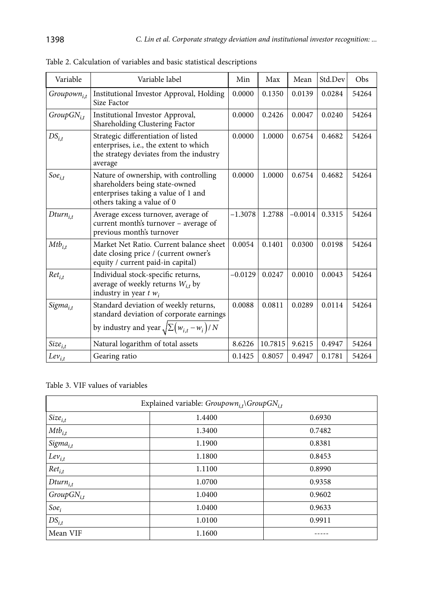| Variable                | Variable label                                                                                                                               | Min       | Max     | Mean      | Std.Dev | Obs   |
|-------------------------|----------------------------------------------------------------------------------------------------------------------------------------------|-----------|---------|-----------|---------|-------|
| Groupown <sub>i.t</sub> | Institutional Investor Approval, Holding<br>Size Factor                                                                                      |           | 0.1350  | 0.0139    | 0.0284  | 54264 |
| $GroupGN_{i,t}$         | Institutional Investor Approval,<br>Shareholding Clustering Factor                                                                           | 0.0000    | 0.2426  | 0.0047    | 0.0240  | 54264 |
| $DS_{i,t}$              | Strategic differentiation of listed<br>enterprises, i.e., the extent to which<br>the strategy deviates from the industry<br>average          | 0.0000    | 1.0000  | 0.6754    | 0.4682  | 54264 |
| $Soe_{i,t}$             | Nature of ownership, with controlling<br>shareholders being state-owned<br>enterprises taking a value of 1 and<br>others taking a value of 0 | 0.0000    | 1.0000  | 0.6754    | 0.4682  | 54264 |
| $Dturn_{i,t}$           | Average excess turnover, average of<br>current month's turnover - average of<br>previous month's turnover                                    | $-1.3078$ | 1.2788  | $-0.0014$ | 0.3315  | 54264 |
| $Mtb_{i,t}$             | Market Net Ratio. Current balance sheet<br>date closing price / (current owner's<br>equity / current paid-in capital)                        | 0.0054    | 0.1401  | 0.0300    | 0.0198  | 54264 |
| $Ret_{i,t}$             | Individual stock-specific returns,<br>average of weekly returns $W_{i,t}$ by<br>industry in year $t w_i$                                     | $-0.0129$ | 0.0247  | 0.0010    | 0.0043  | 54264 |
| Sigma <sub>i.t</sub>    | Standard deviation of weekly returns,<br>standard deviation of corporate earnings<br>by industry and year $\sqrt{\sum (w_{i,t} - w_i)/N}$    | 0.0088    | 0.0811  | 0.0289    | 0.0114  | 54264 |
| $Size_{i,t}$            | Natural logarithm of total assets                                                                                                            | 8.6226    | 10.7815 | 9.6215    | 0.4947  | 54264 |
| $Lev_{i,t}$             | Gearing ratio                                                                                                                                | 0.1425    | 0.8057  | 0.4947    | 0.1781  | 54264 |

Table 2. Calculation of variables and basic statistical descriptions

Table 3. VIF values of variables

| Explained variable: $Groupown_{i,t}\$ GroupGN <sub>i,t</sub> |        |        |  |  |  |  |  |  |
|--------------------------------------------------------------|--------|--------|--|--|--|--|--|--|
| $Size_{i,t}$                                                 | 1.4400 | 0.6930 |  |  |  |  |  |  |
| $Mtb_{i,t}$                                                  | 1.3400 | 0.7482 |  |  |  |  |  |  |
| $Sigma_{i,t}$                                                | 1.1900 | 0.8381 |  |  |  |  |  |  |
| $Lev_{i,t}$                                                  | 1.1800 | 0.8453 |  |  |  |  |  |  |
| $Ret_{i,t}$                                                  | 1.1100 | 0.8990 |  |  |  |  |  |  |
| $Dturn_{i,t}$                                                | 1.0700 | 0.9358 |  |  |  |  |  |  |
| $GroupGN_{i,t}$                                              | 1.0400 | 0.9602 |  |  |  |  |  |  |
| $Soe_i$                                                      | 1.0400 | 0.9633 |  |  |  |  |  |  |
| $DS_{i,t}$                                                   | 1.0100 | 0.9911 |  |  |  |  |  |  |
| Mean VIF                                                     | 1.1600 |        |  |  |  |  |  |  |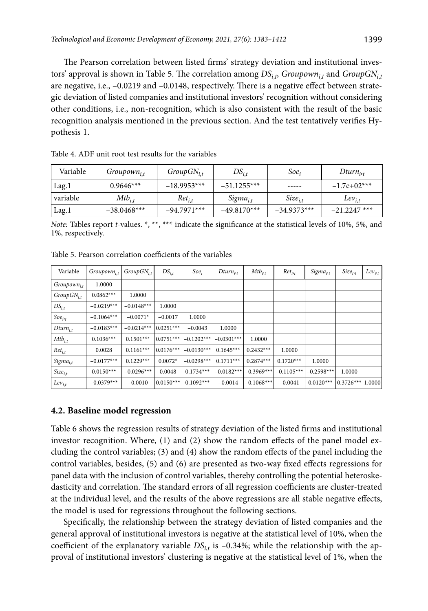The Pearson correlation between listed firms' strategy deviation and institutional investors' approval is shown in Table 5. The correlation among  $DS_{i,t}$  *Groupown* $_{i,t}$  and  $GroupGN_{i,t}$ are negative, i.e., –0.0219 and –0.0148, respectively. There is a negative effect between strategic deviation of listed companies and institutional investors' recognition without considering other conditions, i.e., non-recognition, which is also consistent with the result of the basic recognition analysis mentioned in the previous section. And the test tentatively verifies Hypothesis 1.

| Variable | $Groupown_{i,t}$ | $GroupGN_{i,t}$ | $DS_{i,t}$    | Soe,          | $Dturn_{i,t}$  |
|----------|------------------|-----------------|---------------|---------------|----------------|
| Lag.1    | $0.9646***$      | $-18.9953***$   | $-51.1255***$ | -----         | $-1.7e+02***$  |
| variable | $Mtb_{i,t}$      | $Ret_{i,t}$     | $Sigma_{i,t}$ | $Size_{i,t}$  | $Lev_{i,t}$    |
| Lag.1    | $-38.0468***$    | $-94.7971***$   | $-49.8170***$ | $-34.9373***$ | $-21.2247$ *** |

Table 4. ADF unit root test results for the variables

*Note:* Tables report *t*-values. \*, \*\*, \*\*\* indicate the significance at the statistical levels of 10%, 5%, and 1%, respectively.

| Variable         | Groupown <sub>i.t</sub> | $GroupGN_{i,t}$ | $DS_{i,t}$  | $Soe_i$      | $Dturn_{it}$ | $Mtb_{i,t}$  | $Ret_{i,t}$  | Sigma <sub>irt</sub> | $Size_{irt}$       | $Lev_{jt}$ |
|------------------|-------------------------|-----------------|-------------|--------------|--------------|--------------|--------------|----------------------|--------------------|------------|
| $Groupown_{i,t}$ | 1.0000                  |                 |             |              |              |              |              |                      |                    |            |
| $GroupGN_{i,t}$  | $0.0862***$             | 1.0000          |             |              |              |              |              |                      |                    |            |
| $DS_{i,t}$       | $-0.0219***$            | $-0.0148***$    | 1.0000      |              |              |              |              |                      |                    |            |
| $Soe_{i,t}$      | $-0.1064***$            | $-0.0071*$      | $-0.0017$   | 1.0000       |              |              |              |                      |                    |            |
| $Dturn_{i,t}$    | $-0.0183***$            | $-0.0214***$    | $0.0251***$ | $-0.0043$    | 1.0000       |              |              |                      |                    |            |
| $Mtb_{i,t}$      | $0.1036***$             | $0.1501***$     | $0.0751***$ | $-0.1202***$ | $-0.0301***$ | 1.0000       |              |                      |                    |            |
| $Ret_{i,t}$      | 0.0028                  | $0.1161***$     | $0.0176***$ | $-0.0130***$ | $0.1645***$  | $0.2432***$  | 1.0000       |                      |                    |            |
| $Sigma_{i,t}$    | $-0.0177***$            | $0.1229***$     | $0.0072*$   | $-0.0298***$ | $0.1711***$  | $0.2874***$  | $0.1720***$  | 1.0000               |                    |            |
| $Size_{i,t}$     | $0.0150***$             | $-0.0296***$    | 0.0048      | $0.1734***$  | $-0.0182***$ | $-0.3969***$ | $-0.1105***$ | $-0.2598***$         | 1.0000             |            |
| $Lev_{i,t}$      | $-0.0379***$            | $-0.0010$       | $0.0150***$ | $0.1092***$  | $-0.0014$    | $-0.1068***$ | $-0.0041$    | $0.0120***$          | $0.3726***$ 1.0000 |            |

Table 5. Pearson correlation coefficients of the variables

### **4.2. Baseline model regression**

Table 6 shows the regression results of strategy deviation of the listed firms and institutional investor recognition. Where, (1) and (2) show the random effects of the panel model excluding the control variables; (3) and (4) show the random effects of the panel including the control variables, besides, (5) and (6) are presented as two-way fixed effects regressions for panel data with the inclusion of control variables, thereby controlling the potential heteroskedasticity and correlation. The standard errors of all regression coefficients are cluster-treated at the individual level, and the results of the above regressions are all stable negative effects, the model is used for regressions throughout the following sections.

Specifically, the relationship between the strategy deviation of listed companies and the general approval of institutional investors is negative at the statistical level of 10%, when the coefficient of the explanatory variable  $DS_{i,t}$  is  $-0.34\%$ ; while the relationship with the approval of institutional investors' clustering is negative at the statistical level of 1%, when the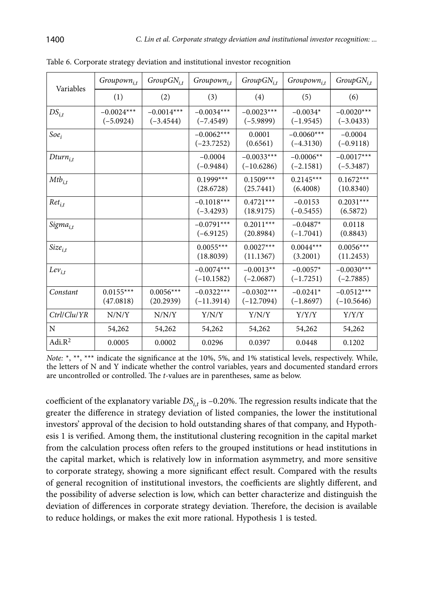| Variables        | $Groupown_{i,t}$            | $GroupGN_{i,t}$             | Groupown <sub>i,t</sub>      | $GroupGN_{i,t}$              | Groupown <sub>i,t</sub>     | $GroupGN_{i,t}$              |
|------------------|-----------------------------|-----------------------------|------------------------------|------------------------------|-----------------------------|------------------------------|
|                  | (1)                         | (2)                         | (3)                          | (4)                          | (5)                         | (6)                          |
| $DS_{i,t}$       | $-0.0024***$<br>$(-5.0924)$ | $-0.0014***$<br>$(-3.4544)$ | $-0.0034***$<br>$(-7.4549)$  | $-0.0023***$<br>$(-5.9899)$  | $-0.0034*$<br>$(-1.9545)$   | $-0.0020***$<br>$(-3.0433)$  |
| $Soe_i$          |                             |                             | $-0.0062***$<br>$(-23.7252)$ | 0.0001<br>(0.6561)           | $-0.0060***$<br>$(-4.3130)$ | $-0.0004$<br>$(-0.9118)$     |
| $Dturn_{i,t}$    |                             |                             | $-0.0004$<br>$(-0.9484)$     | $-0.0033***$<br>$(-10.6286)$ | $-0.0006**$<br>$(-2.1581)$  | $-0.0017***$<br>$(-5.3487)$  |
| $Mtb_{i,t}$      |                             |                             | $0.1999***$<br>(28.6728)     | $0.1509***$<br>(25.7441)     | $0.2145***$<br>(6.4008)     | $0.1672***$<br>(10.8340)     |
| $Ret_{i,t}$      |                             |                             | $-0.1018***$<br>$(-3.4293)$  | $0.4721***$<br>(18.9175)     | $-0.0153$<br>$(-0.5455)$    | $0.2031***$<br>(6.5872)      |
| $Sigma_{i,t}$    |                             |                             | $-0.0791***$<br>$(-6.9125)$  | $0.2011***$<br>(20.8984)     | $-0.0487*$<br>$(-1.7041)$   | 0.0118<br>(0.8843)           |
| $Size_{i,t}$     |                             |                             | $0.0055***$<br>(18.8039)     | $0.0027***$<br>(11.1367)     | $0.0044***$<br>(3.2001)     | $0.0056***$<br>(11.2453)     |
| $Lev_{i,t}$      |                             |                             | $-0.0074***$<br>$(-10.1582)$ | $-0.0013**$<br>$(-2.0687)$   | $-0.0057*$<br>$(-1.7251)$   | $-0.0030***$<br>$(-2.7885)$  |
| Constant         | $0.0155***$<br>(47.0818)    | $0.0056***$<br>(20.2939)    | $-0.0322***$<br>$(-11.3914)$ | $-0.0302***$<br>$(-12.7094)$ | $-0.0241*$<br>$(-1.8697)$   | $-0.0512***$<br>$(-10.5646)$ |
| $Ctrl/Clu/$ $YR$ | N/N/Y                       | N/N/Y                       | Y/N/Y                        | Y/N/Y                        | Y/Y/Y                       | Y/Y/Y                        |
| N                | 54,262                      | 54,262                      | 54,262                       | 54,262                       | 54,262                      | 54,262                       |
| Adi. $R^2$       | 0.0005                      | 0.0002                      | 0.0296                       | 0.0397                       | 0.0448                      | 0.1202                       |

Table 6. Corporate strategy deviation and institutional investor recognition

*Note:* \*, \*\*, \*\*\* indicate the significance at the 10%, 5%, and 1% statistical levels, respectively. While, the letters of N and Y indicate whether the control variables, years and documented standard errors are uncontrolled or controlled. The *t*-values are in parentheses, same as below.

coefficient of the explanatory variable  $DS_{i,t}$  is  $-0.20\%$ . The regression results indicate that the greater the difference in strategy deviation of listed companies, the lower the institutional investors' approval of the decision to hold outstanding shares of that company, and Hypothesis 1 is verified. Among them, the institutional clustering recognition in the capital market from the calculation process often refers to the grouped institutions or head institutions in the capital market, which is relatively low in information asymmetry, and more sensitive to corporate strategy, showing a more significant effect result. Compared with the results of general recognition of institutional investors, the coefficients are slightly different, and the possibility of adverse selection is low, which can better characterize and distinguish the deviation of differences in corporate strategy deviation. Therefore, the decision is available to reduce holdings, or makes the exit more rational. Hypothesis 1 is tested.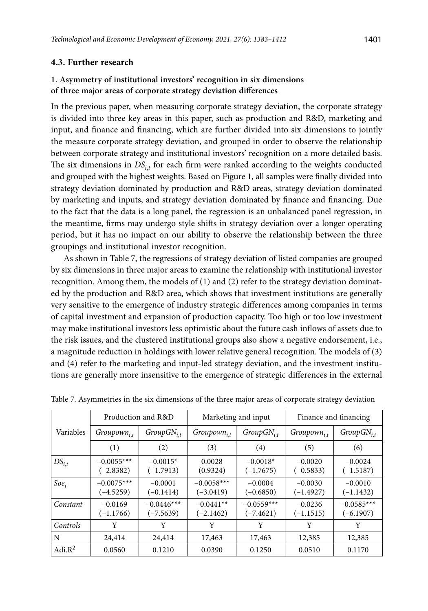### **4.3. Further research**

# **1. Asymmetry of institutional investors' recognition in six dimensions of three major areas of corporate strategy deviation differences**

In the previous paper, when measuring corporate strategy deviation, the corporate strategy is divided into three key areas in this paper, such as production and R&D, marketing and input, and finance and financing, which are further divided into six dimensions to jointly the measure corporate strategy deviation, and grouped in order to observe the relationship between corporate strategy and institutional investors' recognition on a more detailed basis. The six dimensions in  $DS_{i,t}$  for each firm were ranked according to the weights conducted and grouped with the highest weights. Based on Figure 1, all samples were finally divided into strategy deviation dominated by production and R&D areas, strategy deviation dominated by marketing and inputs, and strategy deviation dominated by finance and financing. Due to the fact that the data is a long panel, the regression is an unbalanced panel regression, in the meantime, firms may undergo style shifts in strategy deviation over a longer operating period, but it has no impact on our ability to observe the relationship between the three groupings and institutional investor recognition.

As shown in Table 7, the regressions of strategy deviation of listed companies are grouped by six dimensions in three major areas to examine the relationship with institutional investor recognition. Among them, the models of  $(1)$  and  $(2)$  refer to the strategy deviation dominated by the production and R&D area, which shows that investment institutions are generally very sensitive to the emergence of industry strategic differences among companies in terms of capital investment and expansion of production capacity. Too high or too low investment may make institutional investors less optimistic about the future cash inflows of assets due to the risk issues, and the clustered institutional groups also show a negative endorsement, i.e., a magnitude reduction in holdings with lower relative general recognition. The models of (3) and (4) refer to the marketing and input-led strategy deviation, and the investment institutions are generally more insensitive to the emergence of strategic differences in the external

|            |                             | Production and R&D          |                             | Marketing and input         | Finance and financing    |                             |  |
|------------|-----------------------------|-----------------------------|-----------------------------|-----------------------------|--------------------------|-----------------------------|--|
| Variables  | $Groupown_{i,t}$            | $GroupGN_{i,t}$             | $Groupown_{i,t}$            | $GroupGN_{i,t}$             | $Groupown_{i,t}$         | $GroupGN_{i,t}$             |  |
|            | (1)                         | (2)                         | (3)                         | (4)                         | (5)                      | (6)                         |  |
| $DS_{i,t}$ | $-0.0055***$<br>$(-2.8382)$ | $-0.0015*$<br>$(-1.7913)$   | 0.0028<br>(0.9324)          | $-0.0018*$<br>$(-1.7675)$   | $-0.0020$<br>$(-0.5833)$ | $-0.0024$<br>$(-1.5187)$    |  |
| $Soe_i$    | $-0.0075***$<br>$(-4.5259)$ | $-0.0001$<br>$(-0.1414)$    | $-0.0058***$<br>$(-3.0419)$ | $-0.0004$<br>$(-0.6850)$    | $-0.0030$<br>$(-1.4927)$ | $-0.0010$<br>$(-1.1432)$    |  |
| Constant   | $-0.0169$<br>$(-1.1766)$    | $-0.0446***$<br>$(-7.5639)$ | $-0.0441**$<br>$(-2.1462)$  | $-0.0559***$<br>$(-7.4621)$ | $-0.0236$<br>$(-1.1515)$ | $-0.0585***$<br>$(-6.1907)$ |  |
| Controls   | Y                           | Y                           | Y                           | Y                           | Y                        | Y                           |  |
| N          | 24,414                      | 24,414                      | 17,463                      | 17,463                      | 12,385                   | 12,385                      |  |
| Adi. $R^2$ | 0.0560                      | 0.1210                      | 0.0390                      | 0.1250                      | 0.0510                   | 0.1170                      |  |

Table 7. Asymmetries in the six dimensions of the three major areas of corporate strategy deviation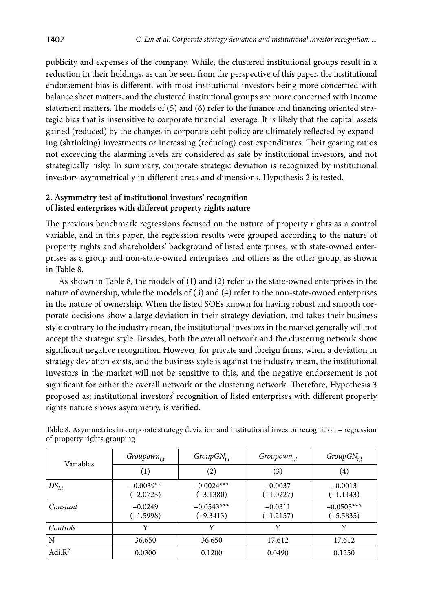publicity and expenses of the company. While, the clustered institutional groups result in a reduction in their holdings, as can be seen from the perspective of this paper, the institutional endorsement bias is different, with most institutional investors being more concerned with balance sheet matters, and the clustered institutional groups are more concerned with income statement matters. The models of (5) and (6) refer to the finance and financing oriented strategic bias that is insensitive to corporate financial leverage. It is likely that the capital assets gained (reduced) by the changes in corporate debt policy are ultimately reflected by expanding (shrinking) investments or increasing (reducing) cost expenditures. Their gearing ratios not exceeding the alarming levels are considered as safe by institutional investors, and not strategically risky. In summary, corporate strategic deviation is recognized by institutional investors asymmetrically in different areas and dimensions. Hypothesis 2 is tested.

## **2. Asymmetry test of institutional investors' recognition of listed enterprises with different property rights nature**

The previous benchmark regressions focused on the nature of property rights as a control variable, and in this paper, the regression results were grouped according to the nature of property rights and shareholders' background of listed enterprises, with state-owned enterprises as a group and non-state-owned enterprises and others as the other group, as shown in Table 8.

As shown in Table 8, the models of (1) and (2) refer to the state-owned enterprises in the nature of ownership, while the models of (3) and (4) refer to the non-state-owned enterprises in the nature of ownership. When the listed SOEs known for having robust and smooth corporate decisions show a large deviation in their strategy deviation, and takes their business style contrary to the industry mean, the institutional investors in the market generally will not accept the strategic style. Besides, both the overall network and the clustering network show significant negative recognition. However, for private and foreign firms, when a deviation in strategy deviation exists, and the business style is against the industry mean, the institutional investors in the market will not be sensitive to this, and the negative endorsement is not significant for either the overall network or the clustering network. Therefore, Hypothesis 3 proposed as: institutional investors' recognition of listed enterprises with different property rights nature shows asymmetry, is verified.

| Variables  | $Groupown_{i,t}$           | $GroupGN_{i,t}$             | $Groupown_{i,t}$         | $GroupGN_{i,t}$             |
|------------|----------------------------|-----------------------------|--------------------------|-----------------------------|
|            | (1)                        | (2)                         | (3)                      | (4)                         |
| $DS_{i,t}$ | $-0.0039**$<br>$(-2.0723)$ | $-0.0024***$<br>$(-3.1380)$ | $-0.0037$<br>$(-1.0227)$ | $-0.0013$<br>$(-1.1143)$    |
| Constant   | $-0.0249$<br>$(-1.5998)$   | $-0.0543***$<br>$(-9.3413)$ | $-0.0311$<br>$(-1.2157)$ | $-0.0505***$<br>$(-5.5835)$ |
| Controls   | Y                          | Y                           | Y                        | Y                           |
| N          | 36,650                     | 36,650                      | 17,612                   | 17,612                      |
| Adi. $R^2$ | 0.0300                     | 0.1200                      | 0.0490                   | 0.1250                      |

Table 8. Asymmetries in corporate strategy deviation and institutional investor recognition – regression of property rights grouping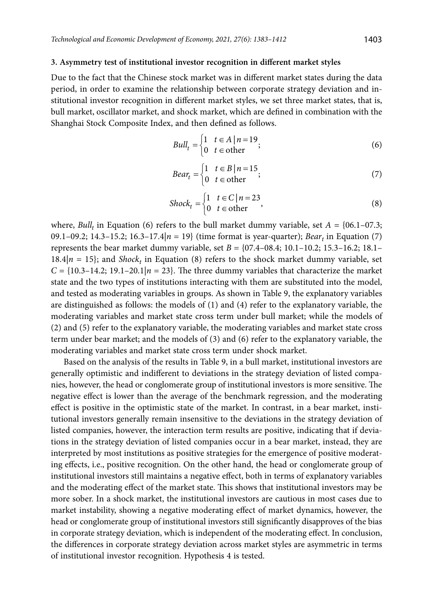#### **3. Asymmetry test of institutional investor recognition in different market styles**

Due to the fact that the Chinese stock market was in different market states during the data period, in order to examine the relationship between corporate strategy deviation and institutional investor recognition in different market styles, we set three market states, that is, bull market, oscillator market, and shock market, which are defined in combination with the Shanghai Stock Composite Index, and then defined as follows.

$$
Ball_t = \begin{cases} 1 & t \in A \mid n = 19 \\ 0 & t \in other \end{cases}
$$
 (6)

$$
Bear_t = \begin{cases} 1 & t \in B \mid n = 15 \\ 0 & t \in \text{other} \end{cases}
$$
 (7)

$$
Shock_t = \begin{cases} 1 & t \in C \mid n = 23 \\ 0 & t \in other \end{cases}
$$
 (8)

where,  $\textit{Bulk}_t$  in Equation (6) refers to the bull market dummy variable, set  $A = \{06.1 - 07.3;$ 09.1–09.2; 14.3–15.2; 16.3–17.4|*n* = 19} (time format is year-quarter); *Bear<sub>t</sub>* in Equation (7) represents the bear market dummy variable, set  $B = \{07.4-08.4; 10.1-10.2; 15.3-16.2; 18.1 18.4|n = 15$ ; and *Shock<sub>t</sub>* in Equation (8) refers to the shock market dummy variable, set  $C = \{10.3-14.2; 19.1-20.1|n = 23\}$ . The three dummy variables that characterize the market state and the two types of institutions interacting with them are substituted into the model, and tested as moderating variables in groups. As shown in Table 9, the explanatory variables are distinguished as follows: the models of (1) and (4) refer to the explanatory variable, the moderating variables and market state cross term under bull market; while the models of (2) and (5) refer to the explanatory variable, the moderating variables and market state cross term under bear market; and the models of (3) and (6) refer to the explanatory variable, the moderating variables and market state cross term under shock market.

Based on the analysis of the results in Table 9, in a bull market, institutional investors are generally optimistic and indifferent to deviations in the strategy deviation of listed companies, however, the head or conglomerate group of institutional investors is more sensitive. The negative effect is lower than the average of the benchmark regression, and the moderating effect is positive in the optimistic state of the market. In contrast, in a bear market, institutional investors generally remain insensitive to the deviations in the strategy deviation of listed companies, however, the interaction term results are positive, indicating that if deviations in the strategy deviation of listed companies occur in a bear market, instead, they are interpreted by most institutions as positive strategies for the emergence of positive moderating effects, i.e., positive recognition. On the other hand, the head or conglomerate group of institutional investors still maintains a negative effect, both in terms of explanatory variables and the moderating effect of the market state. This shows that institutional investors may be more sober. In a shock market, the institutional investors are cautious in most cases due to market instability, showing a negative moderating effect of market dynamics, however, the head or conglomerate group of institutional investors still significantly disapproves of the bias in corporate strategy deviation, which is independent of the moderating effect. In conclusion, the differences in corporate strategy deviation across market styles are asymmetric in terms of institutional investor recognition. Hypothesis 4 is tested.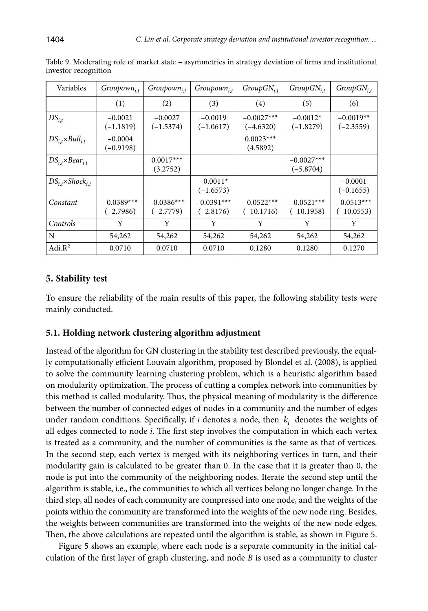| Variables                            | $Groupown_{i,t}$            | $Groupown_{i,t}$            | $Groupown_{i,t}$            | $GroupGN_{i,t}$              | $GroupGN_{i,t}$              | $GroupGN_{i,t}$              |
|--------------------------------------|-----------------------------|-----------------------------|-----------------------------|------------------------------|------------------------------|------------------------------|
|                                      | (1)                         | (2)                         | (3)                         | (4)                          | (5)                          | (6)                          |
| $DS_{i,t}$                           | $-0.0021$<br>$(-1.1819)$    | $-0.0027$<br>$(-1.5374)$    | $-0.0019$<br>$(-1.0617)$    | $-0.0027***$<br>$(-4.6320)$  | $-0.0012*$<br>$(-1.8279)$    | $-0.0019**$<br>$(-2.3559)$   |
| $DS_{i,t} \times Bul_{i,t}$          | $-0.0004$<br>$(-0.9198)$    |                             |                             | $0.0023***$<br>(4.5892)      |                              |                              |
| $DS_{i,t} \times Bear_{i,t}$         |                             | $0.0017***$<br>(3.2752)     |                             |                              | $-0.0027***$<br>$(-5.8704)$  |                              |
| $DS_{i,t} \times \text{Shock}_{i,t}$ |                             |                             | $-0.0011*$<br>$(-1.6573)$   |                              |                              | $-0.0001$<br>$(-0.1655)$     |
| Constant                             | $-0.0389***$<br>$(-2.7986)$ | $-0.0386***$<br>$(-2.7779)$ | $-0.0391***$<br>$(-2.8176)$ | $-0.0522***$<br>$(-10.1716)$ | $-0.0521***$<br>$(-10.1958)$ | $-0.0513***$<br>$(-10.0553)$ |
| Controls                             | Y                           | Y                           | Y                           | Y                            | Y                            | Y                            |
| $\mathbf N$                          | 54,262                      | 54,262                      | 54,262                      | 54,262                       | 54,262                       | 54,262                       |
| Adi. $R^2$                           | 0.0710                      | 0.0710                      | 0.0710                      | 0.1280                       | 0.1280                       | 0.1270                       |

Table 9. Moderating role of market state – asymmetries in strategy deviation of firms and institutional investor recognition

# **5. Stability test**

To ensure the reliability of the main results of this paper, the following stability tests were mainly conducted.

# **5.1. Holding network clustering algorithm adjustment**

Instead of the algorithm for GN clustering in the stability test described previously, the equally computationally efficient Louvain algorithm, proposed by Blondel et al. (2008), is applied to solve the community learning clustering problem, which is a heuristic algorithm based on modularity optimization. The process of cutting a complex network into communities by this method is called modularity. Thus, the physical meaning of modularity is the difference between the number of connected edges of nodes in a community and the number of edges under random conditions. Specifically, if  $i$  denotes a node, then  $k_i$  denotes the weights of all edges connected to node *i*. The first step involves the computation in which each vertex is treated as a community, and the number of communities is the same as that of vertices. In the second step, each vertex is merged with its neighboring vertices in turn, and their modularity gain is calculated to be greater than 0. In the case that it is greater than 0, the node is put into the community of the neighboring nodes. Iterate the second step until the algorithm is stable, i.e., the communities to which all vertices belong no longer change. In the third step, all nodes of each community are compressed into one node, and the weights of the points within the community are transformed into the weights of the new node ring. Besides, the weights between communities are transformed into the weights of the new node edges. Then, the above calculations are repeated until the algorithm is stable, as shown in Figure 5.

Figure 5 shows an example, where each node is a separate community in the initial calculation of the first layer of graph clustering, and node *B* is used as a community to cluster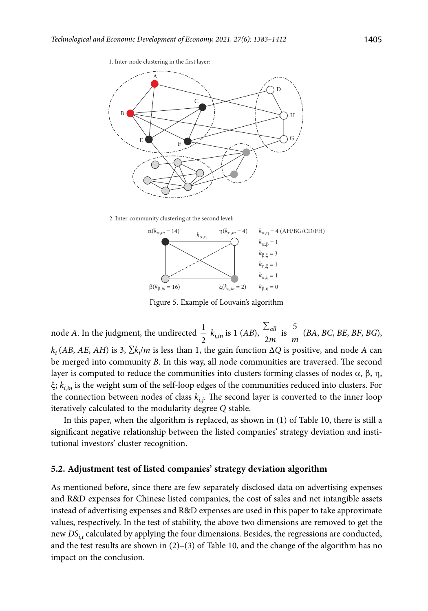

2. Inter-community clustering at the second level:



Figure 5. Example of Louvain's algorithm

node *A*. In the judgment, the undirected  $\frac{1}{2}$   $k_{i,in}$  is 1 (*AB*),  $\frac{\sum_{i=1}^{n} k_{i,in}}{2}$ *all*  $\frac{r_{all}}{m}$  is  $\frac{5}{n}$ *m* (*BA*, *BC*, *BE*, *BF*, *BG*),  $k_i$  (*AB*, *AE*, *AH*) is 3, ∑ $k_i/m$  is less than 1, the gain function ∆*Q* is positive, and node *A* can be merged into community *B*. In this way, all node communities are traversed. The second layer is computed to reduce the communities into clusters forming classes of nodes α, β, η, ξ; *ki,in* is the weight sum of the self-loop edges of the communities reduced into clusters. For the connection between nodes of class  $k_{i,j}$ . The second layer is converted to the inner loop iteratively calculated to the modularity degree *Q* stable.

In this paper, when the algorithm is replaced, as shown in (1) of Table 10, there is still a significant negative relationship between the listed companies' strategy deviation and institutional investors' cluster recognition.

#### **5.2. Adjustment test of listed companies' strategy deviation algorithm**

As mentioned before, since there are few separately disclosed data on advertising expenses and R&D expenses for Chinese listed companies, the cost of sales and net intangible assets instead of advertising expenses and R&D expenses are used in this paper to take approximate values, respectively. In the test of stability, the above two dimensions are removed to get the new *DSi*,*<sup>t</sup>* calculated by applying the four dimensions. Besides, the regressions are conducted, and the test results are shown in  $(2)-(3)$  of Table 10, and the change of the algorithm has no impact on the conclusion.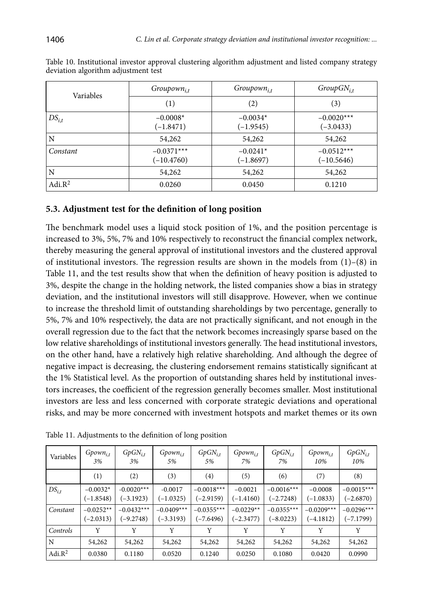| Variables  | $Groupown_{i,t}$             | $Groupown_{i,t}$          | $GroupGN_{i,t}$              |
|------------|------------------------------|---------------------------|------------------------------|
|            | (1)                          | (2)                       | (3)                          |
| $DS_{i,t}$ | $-0.0008*$<br>$(-1.8471)$    | $-0.0034*$<br>$(-1.9545)$ | $-0.0020***$<br>$(-3.0433)$  |
| N          | 54,262                       | 54,262                    | 54,262                       |
| Constant   | $-0.0371***$<br>$(-10.4760)$ | $-0.0241*$<br>$(-1.8697)$ | $-0.0512***$<br>$(-10.5646)$ |
| N          | 54,262                       | 54,262                    | 54,262                       |
| Adi. $R^2$ | 0.0260                       | 0.0450                    | 0.1210                       |

Table 10. Institutional investor approval clustering algorithm adjustment and listed company strategy deviation algorithm adjustment test

# **5.3. Adjustment test for the definition of long position**

The benchmark model uses a liquid stock position of 1%, and the position percentage is increased to 3%, 5%, 7% and 10% respectively to reconstruct the financial complex network, thereby measuring the general approval of institutional investors and the clustered approval of institutional investors. The regression results are shown in the models from  $(1)$ – $(8)$  in Table 11, and the test results show that when the definition of heavy position is adjusted to 3%, despite the change in the holding network, the listed companies show a bias in strategy deviation, and the institutional investors will still disapprove. However, when we continue to increase the threshold limit of outstanding shareholdings by two percentage, generally to 5%, 7% and 10% respectively, the data are not practically significant, and not enough in the overall regression due to the fact that the network becomes increasingly sparse based on the low relative shareholdings of institutional investors generally. The head institutional investors, on the other hand, have a relatively high relative shareholding. And although the degree of negative impact is decreasing, the clustering endorsement remains statistically significant at the 1% Statistical level. As the proportion of outstanding shares held by institutional investors increases, the coefficient of the regression generally becomes smaller. Most institutional investors are less and less concerned with corporate strategic deviations and operational risks, and may be more concerned with investment hotspots and market themes or its own

| Variables  | $Gpown_{i,t}$<br>3%        | $GpGN_{i,t}$<br>3%          | $Gpown_{i,t}$<br>5%         | $GpGN_{i,t}$<br>5%          | Gpown <sub>i.t</sub><br>7% | $GpGN_{i,t}$<br>7%          | $Gpown_{i,t}$<br>10%        | $GpGN_{i,t}$<br>10%         |
|------------|----------------------------|-----------------------------|-----------------------------|-----------------------------|----------------------------|-----------------------------|-----------------------------|-----------------------------|
|            | (1)                        | (2)                         | (3)                         | (4)                         | (5)                        | (6)                         | (7)                         | (8)                         |
| $DS_{i,t}$ | $-0.0032*$<br>$(-1.8548)$  | $-0.0020***$<br>$(-3.1923)$ | $-0.0017$<br>$(-1.0325)$    | $-0.0018***$<br>$(-2.9159)$ | $-0.0021$<br>$(-1.4160)$   | $-0.0016***$<br>$(-2.7248)$ | $-0.0008$<br>$(-1.0833)$    | $-0.0015***$<br>$(-2.6870)$ |
| Constant   | $-0.0252**$<br>$(-2.0313)$ | $-0.0432***$<br>$(-9.2748)$ | $-0.0409***$<br>$(-3.3193)$ | $-0.0355***$<br>$(-7.6496)$ | $-0.0229**$<br>$(-2.3477)$ | $-0.0355***$<br>$(-8.0223)$ | $-0.0209***$<br>$(-4.1812)$ | $-0.0296***$<br>(–7.1799)   |
| Controls   | Y                          | Y                           | Y                           | Y                           | Y                          | Y                           | Y                           | Y                           |
| N          | 54,262                     | 54,262                      | 54,262                      | 54,262                      | 54,262                     | 54,262                      | 54,262                      | 54,262                      |
| Adi. $R^2$ | 0.0380                     | 0.1180                      | 0.0520                      | 0.1240                      | 0.0250                     | 0.1080                      | 0.0420                      | 0.0990                      |

Table 11. Adjustments to the definition of long position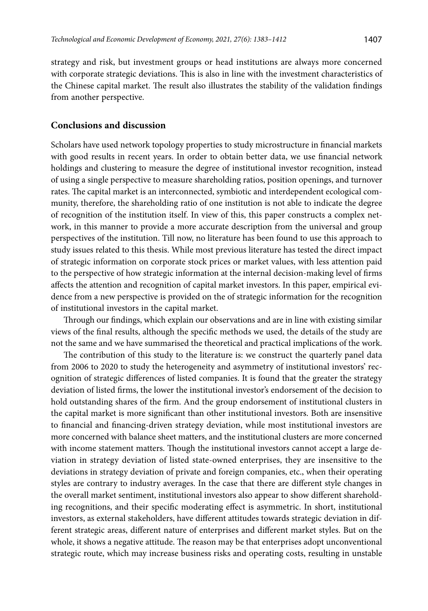strategy and risk, but investment groups or head institutions are always more concerned with corporate strategic deviations. This is also in line with the investment characteristics of the Chinese capital market. The result also illustrates the stability of the validation findings from another perspective.

## **Conclusions and discussion**

Scholars have used network topology properties to study microstructure in financial markets with good results in recent years. In order to obtain better data, we use financial network holdings and clustering to measure the degree of institutional investor recognition, instead of using a single perspective to measure shareholding ratios, position openings, and turnover rates. The capital market is an interconnected, symbiotic and interdependent ecological community, therefore, the shareholding ratio of one institution is not able to indicate the degree of recognition of the institution itself. In view of this, this paper constructs a complex network, in this manner to provide a more accurate description from the universal and group perspectives of the institution. Till now, no literature has been found to use this approach to study issues related to this thesis. While most previous literature has tested the direct impact of strategic information on corporate stock prices or market values, with less attention paid to the perspective of how strategic information at the internal decision-making level of firms affects the attention and recognition of capital market investors. In this paper, empirical evidence from a new perspective is provided on the of strategic information for the recognition of institutional investors in the capital market.

Through our findings, which explain our observations and are in line with existing similar views of the final results, although the specific methods we used, the details of the study are not the same and we have summarised the theoretical and practical implications of the work.

The contribution of this study to the literature is: we construct the quarterly panel data from 2006 to 2020 to study the heterogeneity and asymmetry of institutional investors' recognition of strategic differences of listed companies. It is found that the greater the strategy deviation of listed firms, the lower the institutional investor's endorsement of the decision to hold outstanding shares of the firm. And the group endorsement of institutional clusters in the capital market is more significant than other institutional investors. Both are insensitive to financial and financing-driven strategy deviation, while most institutional investors are more concerned with balance sheet matters, and the institutional clusters are more concerned with income statement matters. Though the institutional investors cannot accept a large deviation in strategy deviation of listed state-owned enterprises, they are insensitive to the deviations in strategy deviation of private and foreign companies, etc., when their operating styles are contrary to industry averages. In the case that there are different style changes in the overall market sentiment, institutional investors also appear to show different shareholding recognitions, and their specific moderating effect is asymmetric. In short, institutional investors, as external stakeholders, have different attitudes towards strategic deviation in different strategic areas, different nature of enterprises and different market styles. But on the whole, it shows a negative attitude. The reason may be that enterprises adopt unconventional strategic route, which may increase business risks and operating costs, resulting in unstable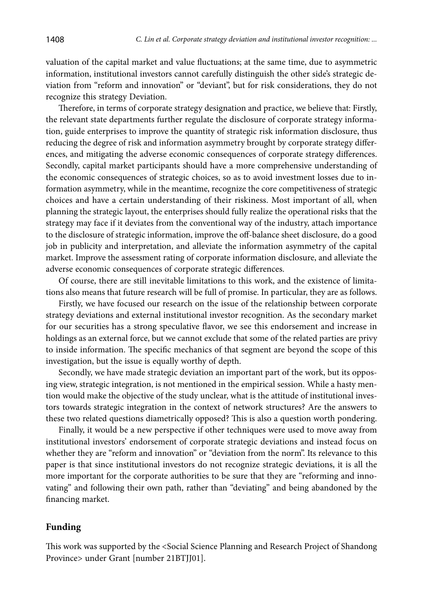valuation of the capital market and value fluctuations; at the same time, due to asymmetric information, institutional investors cannot carefully distinguish the other side's strategic deviation from "reform and innovation" or "deviant", but for risk considerations, they do not recognize this strategy Deviation.

Therefore, in terms of corporate strategy designation and practice, we believe that: Firstly, the relevant state departments further regulate the disclosure of corporate strategy information, guide enterprises to improve the quantity of strategic risk information disclosure, thus reducing the degree of risk and information asymmetry brought by corporate strategy differences, and mitigating the adverse economic consequences of corporate strategy differences. Secondly, capital market participants should have a more comprehensive understanding of the economic consequences of strategic choices, so as to avoid investment losses due to information asymmetry, while in the meantime, recognize the core competitiveness of strategic choices and have a certain understanding of their riskiness. Most important of all, when planning the strategic layout, the enterprises should fully realize the operational risks that the strategy may face if it deviates from the conventional way of the industry, attach importance to the disclosure of strategic information, improve the off-balance sheet disclosure, do a good job in publicity and interpretation, and alleviate the information asymmetry of the capital market. Improve the assessment rating of corporate information disclosure, and alleviate the adverse economic consequences of corporate strategic differences.

Of course, there are still inevitable limitations to this work, and the existence of limitations also means that future research will be full of promise. In particular, they are as follows.

Firstly, we have focused our research on the issue of the relationship between corporate strategy deviations and external institutional investor recognition. As the secondary market for our securities has a strong speculative flavor, we see this endorsement and increase in holdings as an external force, but we cannot exclude that some of the related parties are privy to inside information. The specific mechanics of that segment are beyond the scope of this investigation, but the issue is equally worthy of depth.

Secondly, we have made strategic deviation an important part of the work, but its opposing view, strategic integration, is not mentioned in the empirical session. While a hasty mention would make the objective of the study unclear, what is the attitude of institutional investors towards strategic integration in the context of network structures? Are the answers to these two related questions diametrically opposed? This is also a question worth pondering.

Finally, it would be a new perspective if other techniques were used to move away from institutional investors' endorsement of corporate strategic deviations and instead focus on whether they are "reform and innovation" or "deviation from the norm". Its relevance to this paper is that since institutional investors do not recognize strategic deviations, it is all the more important for the corporate authorities to be sure that they are "reforming and innovating" and following their own path, rather than "deviating" and being abandoned by the financing market.

### **Funding**

This work was supported by the <Social Science Planning and Research Project of Shandong Province> under Grant [number 21BTJJ01].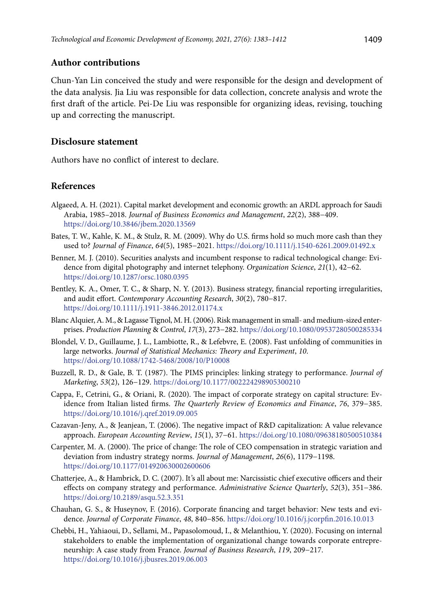### **Author contributions**

Chun-Yan Lin conceived the study and were responsible for the design and development of the data analysis. Jia Liu was responsible for data collection, concrete analysis and wrote the first draft of the article. Pei-De Liu was responsible for organizing ideas, revising, touching up and correcting the manuscript.

### **Disclosure statement**

Authors have no conflict of interest to declare.

## **References**

- Algaeed, A. H. (2021). Capital market development and economic growth: an ARDL approach for Saudi Arabia, 1985–2018. *Journal of Business Economics and Management*, *22*(2), 388−409. <https://doi.org/10.3846/jbem.2020.13569>
- Bates, T. W., Kahle, K. M., & Stulz, R. M. (2009). Why do U.S. firms hold so much more cash than they used to? *Journal of Finance*, *64*(5), 1985−2021. <https://doi.org/10.1111/j.1540-6261.2009.01492.x>
- Benner, M. J. (2010). Securities analysts and incumbent response to radical technological change: Evidence from digital photography and internet telephony. *Organization Science*, *21*(1), 42−62. <https://doi.org/10.1287/orsc.1080.0395>
- Bentley, K. A., Omer, T. C., & Sharp, N. Y. (2013). Business strategy, financial reporting irregularities, and audit effort. *Contemporary Accounting Research*, *30*(2), 780−817. <https://doi.org/10.1111/j.1911-3846.2012.01174.x>
- Blanc Alquier, A. M., & Lagasse Tignol, M. H. (2006). Risk management in small- and medium-sized enterprises. *Production Planning* & *Control*, *17*(3), 273−282. https://doi.org/10.1080/09537280500285334
- Blondel, V. D., Guillaume, J. L., Lambiotte, R., & Lefebvre, E. (2008). Fast unfolding of communities in large networks. *Journal of Statistical Mechanics: Theory and Experiment*, *10*. <https://doi.org/10.1088/1742-5468/2008/10/P10008>
- Buzzell, R. D., & Gale, B. T. (1987). The PIMS principles: linking strategy to performance. *Journal of Marketing*, *53*(2), 126−129. <https://doi.org/10.1177/002224298905300210>
- Cappa, F., Cetrini, G., & Oriani, R. (2020). The impact of corporate strategy on capital structure: Evidence from Italian listed firms. *The Quarterly Review of Economics and Finance*, *76*, 379−385. <https://doi.org/10.1016/j.qref.2019.09.005>
- Cazavan-Jeny, A., & Jeanjean, T. (2006). The negative impact of R&D capitalization: A value relevance approach. *European Accounting Review*, *15*(1), 37−61. <https://doi.org/10.1080/09638180500510384>
- Carpenter, M. A. (2000). The price of change: The role of CEO compensation in strategic variation and deviation from industry strategy norms. *Journal of Management*, *26*(6), 1179−1198. <https://doi.org/10.1177/014920630002600606>
- Chatterjee, A., & Hambrick, D. C. (2007). It*'*s all about me: Narcissistic chief executive officers and their effects on company strategy and performance. *Administrative Science Quarterly*, *52*(3), 351−386. <https://doi.org/10.2189/asqu.52.3.351>
- Chauhan, G. S., & Huseynov, F. (2016). Corporate financing and target behavior: New tests and evidence. *Journal of Corporate Finance*, *48*, 840−856. <https://doi.org/10.1016/j.jcorpfin.2016.10.013>
- Chebbi, H., Yahiaoui, D., Sellami, M., Papasolomoud, I., & Melanthiou, Y. (2020). Focusing on internal stakeholders to enable the implementation of organizational change towards corporate entrepreneurship: A case study from France. *Journal of Business Research*, *119*, 209−217. <https://doi.org/10.1016/j.jbusres.2019.06.003>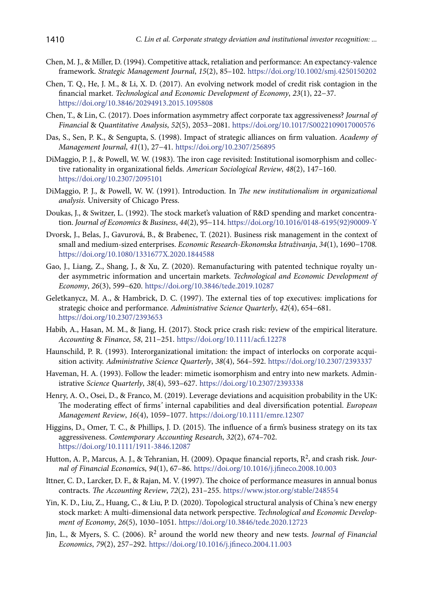- Chen, M. J., & Miller, D. (1994). Competitive attack, retaliation and performance: An expectancy-valence framework. *Strategic Management Journal*, *15*(2), 85–102.<https://doi.org/10.1002/smj.4250150202>
- Chen, T. Q., He, J. M., & Li, X. D. (2017). An evolving network model of credit risk contagion in the financial market. *Technological and Economic Development of Economy*, *23*(1), 22−37. <https://doi.org/10.3846/20294913.2015.1095808>
- Chen, T., & Lin, C. (2017). Does information asymmetry affect corporate tax aggressiveness? *Journal of Financial* & *Quantitative Analysis*, *52*(5), 2053−2081. <https://doi.org/10.1017/S0022109017000576>
- Das, S., Sen, P. K., & Sengupta, S. (1998). Impact of strategic alliances on firm valuation. *Academy of Management Journal*, *41*(1), 27−41. <https://doi.org/10.2307/256895>
- DiMaggio, P. J., & Powell, W. W. (1983). The iron cage revisited: Institutional isomorphism and collective rationality in organizational fields. *American Sociological Review*, *48*(2), 147–160. <https://doi.org/10.2307/2095101>
- DiMaggio, P. J., & Powell, W. W. (1991). Introduction*.* In *The new institutionalism in organizational analysis*. University of Chicago Press.
- Doukas, J., & Switzer, L. (1992). The stock market's valuation of R&D spending and market concentration. *Journal of Economics* & *Business*, *44*(2), 95−114. [https://doi.org/10.1016/0148-6195\(92\)90009-Y](https://doi.org/10.1016/0148-6195(92)90009-Y)
- Dvorsk, J., Belas, J., Gavurová, B., & Brabenec, T. (2021). Business risk management in the context of small and medium-sized enterprises. *Economic Research-Ekonomska Istraživanja*, *34*(1), 1690−1708*.* <https://doi.org/10.1080/1331677X.2020.1844588>
- Gao, J., Liang, Z., Shang, J., & Xu, Z. (2020). Remanufacturing with patented technique royalty under asymmetric information and uncertain markets. *Technological and Economic Development of Economy*, *26*(3), 599−620. <https://doi.org/10.3846/tede.2019.10287>
- Geletkanycz, M. A., & Hambrick, D. C. (1997). The external ties of top executives: implications for strategic choice and performance. *Administrative Science Quarterly*, *42*(4), 654−681. <https://doi.org/10.2307/2393653>
- Habib, A., Hasan, M. M., & Jiang, H. (2017). Stock price crash risk: review of the empirical literature. *Accounting* & *Finance*, *58*, 211−251. <https://doi.org/10.1111/acfi.12278>
- Haunschild, P. R. (1993). Interorganizational imitation: the impact of interlocks on corporate acquisition activity. *Administrative Science Quarterly*, *38*(4), 564–592. <https://doi.org/10.2307/2393337>
- Haveman, H. A. (1993). Follow the leader: mimetic isomorphism and entry into new markets. Administrative *Science Quarterly*, *38*(4), 593–627. <https://doi.org/10.2307/2393338>
- Henry, A. O., Osei, D., & Franco, M. (2019). Leverage deviations and acquisition probability in the UK: The moderating effect of firms*'* internal capabilities and deal diversification potential. *European Management Review*, *16*(4), 1059–1077. <https://doi.org/10.1111/emre.12307>
- Higgins, D., Omer, T. C., & Phillips, J. D. (2015). The influence of a firm's business strategy on its tax aggressiveness. *Contemporary Accounting Research*, *32*(2), 674–702. <https://doi.org/10.1111/1911-3846.12087>
- Hutton, A. P., Marcus, A. J., & Tehranian, H. (2009). Opaque financial reports, R2, and crash risk. *Journal of Financial Economic*s, *94*(1), 67–86. <https://doi.org/10.1016/j.jfineco.2008.10.003>
- Ittner, C. D., Larcker, D. F., & Rajan, M. V. (1997). The choice of performance measures in annual bonus contracts. *The Accounting Review*, *72*(2), 231–255. <https://www.jstor.org/stable/248554>
- Yin, K. D., Liu, Z., Huang, C., & Liu, P. D. (2020). Topological structural analysis of China*'*s new energy stock market: A multi-dimensional data network perspective. *Technological and Economic Development of Economy*, *26*(5), 1030–1051. <https://doi.org/10.3846/tede.2020.12723>
- Jin, L., & Myers, S. C. (2006). R2 around the world new theory and new tests. *Journal of Financial Economics*, *79*(2), 257–292. <https://doi.org/10.1016/j.jfineco.2004.11.003>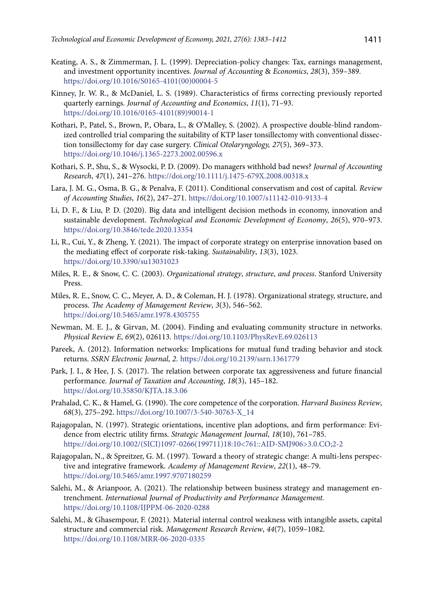- Keating, A. S., & Zimmerman, J. L. (1999). Depreciation-policy changes: Tax, earnings management, and investment opportunity incentives. *Journal of Accounting* & *Economics*, *28*(3), 359–389. [https://doi.org/10.1016/S0165-4101\(00\)00004-5](https://doi.org/10.1016/S0165-4101(00)00004-5)
- Kinney, Jr. W. R., & McDaniel, L. S. (1989). Characteristics of firms correcting previously reported quarterly earnings. *Journal of Accounting and Economics*, *11*(1), 71–93. [https://doi.org/10.1016/0165-4101\(89\)90014-1](https://doi.org/10.1016/0165-4101(89)90014-1)
- Kothari, P., Patel, S., Brown, P., Obara, L., & O'Malley, S. (2002). A prospective double-blind randomized controlled trial comparing the suitability of KTP laser tonsillectomy with conventional dissection tonsillectomy for day case surgery. *Clinical Otolaryngology, 27*(5), 369–373. <https://doi.org/10.1046/j.1365-2273.2002.00596.x>
- Kothari, S. P., Shu, S., & Wysocki, P. D. (2009). Do managers withhold bad news? *Journal of Accounting Research*, *47*(1), 241–276. <https://doi.org/10.1111/j.1475-679X.2008.00318.x>
- Lara, J. M. G., Osma, B. G., & Penalva, F. (2011). Conditional conservatism and cost of capital. *Review of Accounting Studies*, *16*(2), 247–271. <https://doi.org/10.1007/s11142-010-9133-4>
- Li, D. F., & Liu, P. D. (2020). Big data and intelligent decision methods in economy, innovation and sustainable development. *Technological and Economic Development of Economy*, *26*(5), 970–973. <https://doi.org/10.3846/tede.2020.13354>
- Li, R., Cui, Y., & Zheng, Y. (2021). The impact of corporate strategy on enterprise innovation based on the mediating effect of corporate risk-taking. *Sustainability*, *13*(3), 1023. <https://doi.org/10.3390/su13031023>
- Miles, R. E., & Snow, C. C. (2003). *Organizational strategy*, *structure*, *and process*. Stanford University Press.
- Miles, R. E., Snow, C. C., Meyer, A. D., & Coleman, H. J. (1978). Organizational strategy, structure, and process. *The Academy of Management Review*, *3*(3), 546–562. <https://doi.org/10.5465/amr.1978.4305755>
- Newman, M. E. J., & Girvan, M. (2004). Finding and evaluating community structure in networks. *Physical Review E*, *69*(2), 026113. <https://doi.org/10.1103/PhysRevE.69.026113>
- Pareek, A. (2012). Information networks: Implications for mutual fund trading behavior and stock returns. *SSRN Electronic Journal*, *2*. <https://doi.org/10.2139/ssrn.1361779>
- Park, J. I., & Hee, J. S. (2017). The relation between corporate tax aggressiveness and future financial performance. *Journal of Taxation and Accounting*, *18*(3), 145–182. <https://doi.org/10.35850/KJTA.18.3.06>
- Prahalad, C. K., & Hamel, G. (1990). The core competence of the corporation. *Harvard Business Review*, *68*(3), 275–292. [https://doi.org/10.1007/3-540-30763-X\\_14](https://doi.org/10.1007/3-540-30763-X_14)
- Rajagopalan, N. (1997). Strategic orientations, incentive plan adoptions, and firm performance: Evidence from electric utility firms. *Strategic Management Journal*, *18*(10), 761–785. [https://doi.org/10.1002/\(SICI\)1097-0266\(199711\)18:10<761::AID-SMJ906>3.0.CO;2-2](https://doi.org/10.1002/(SICI)1097-0266(199711)18:10%3C761::AID-SMJ906%3E3.0.CO;2-2)
- Rajagopalan, N., & Spreitzer, G. M. (1997). Toward a theory of strategic change: A multi-lens perspective and integrative framework. *Academy of Management Review*, *22*(1), 48–79. <https://doi.org/10.5465/amr.1997.9707180259>
- Salehi, M., & Arianpoor, A. (2021). The relationship between business strategy and management entrenchment. *International Journal of Productivity and Performance Management.*  <https://doi.org/10.1108/IJPPM-06-2020-0288>
- Salehi, M., & Ghasempour, F. (2021). Material internal control weakness with intangible assets, capital structure and commercial risk. *Management Research Review*, *44*(7), 1059–1082*.* <https://doi.org/10.1108/MRR-06-2020-0335>